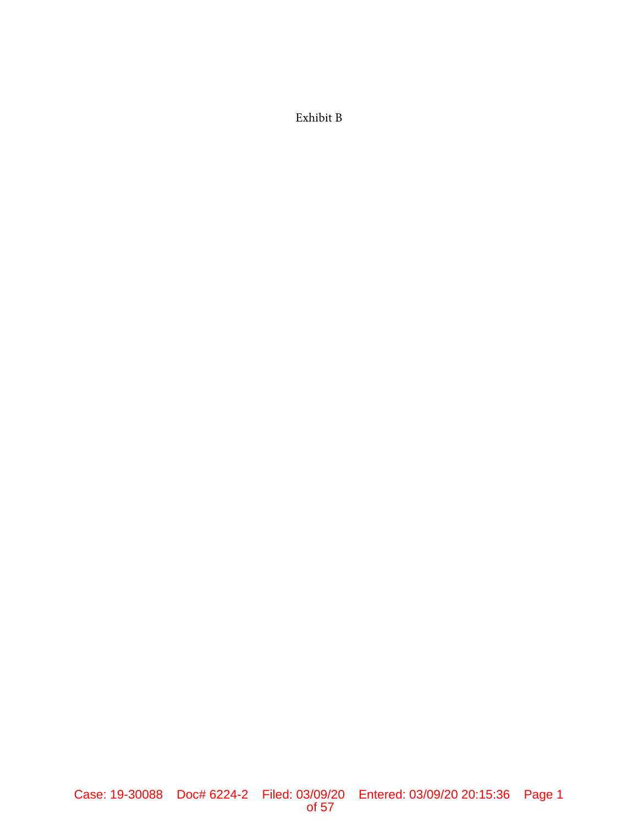Exhibit B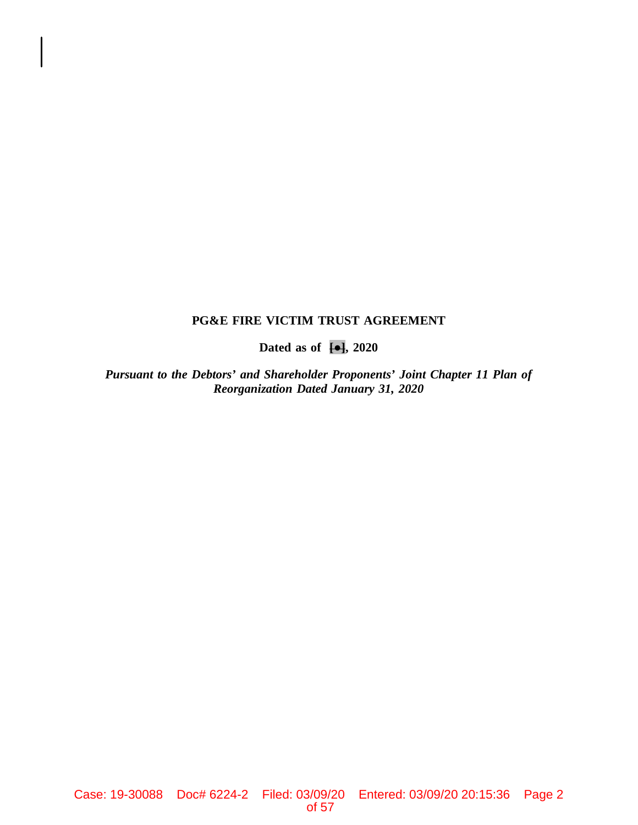## **PG&E FIRE VICTIM TRUST AGREEMENT**

**Dated as of [●], 2020**

*Pursuant to the Debtors' and Shareholder Proponents' Joint Chapter 11 Plan of Reorganization Dated January 31, 2020*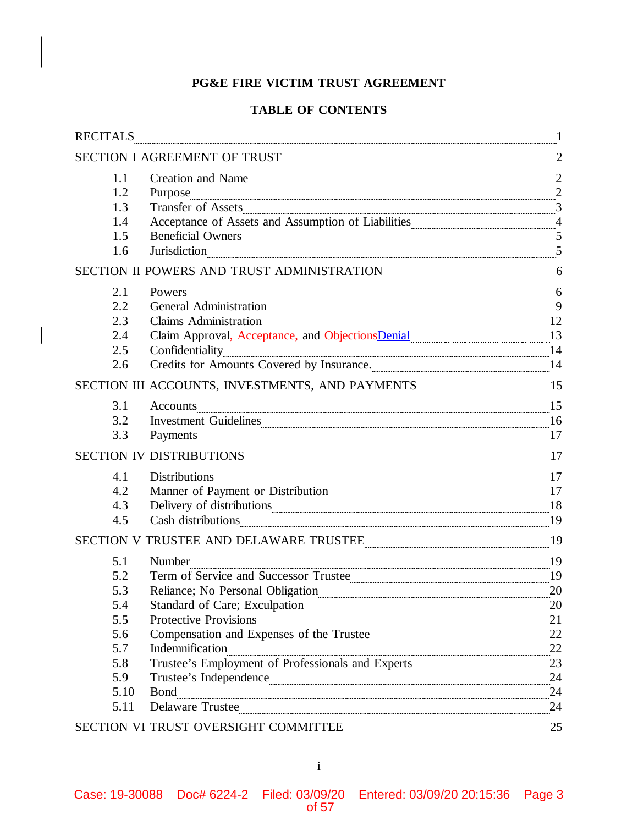# **PG&E FIRE VICTIM TRUST AGREEMENT**

# **TABLE OF CONTENTS**

| <b>RECITALS</b> |                                                                                                                                                                                                                                | $\mathbf{1}$ |
|-----------------|--------------------------------------------------------------------------------------------------------------------------------------------------------------------------------------------------------------------------------|--------------|
|                 | SECTION I AGREEMENT OF TRUST ENTITLED AT A LIMIT MANUSCRIPT OF TRUST AND MALL MANUSCRIPT OF TRUST AND MALL MANUSCRIPT OF TRUST AND MALL MANUSCRIPT OF TRUST AND MALL MANUSCRIPT OF TRUST AND MALL MANUSCRIPT OF TRUST AND MALL |              |
| 1.1             | Creation and Name 2                                                                                                                                                                                                            |              |
| 1.2             |                                                                                                                                                                                                                                |              |
| 1.3             | Purpose 2<br>Transfer of Assets 3                                                                                                                                                                                              |              |
| 1.4             | Acceptance of Assets and Assumption of Liabilities 4                                                                                                                                                                           |              |
| 1.5             | Beneficial Owners 5                                                                                                                                                                                                            |              |
| 1.6             | Jurisdiction                                                                                                                                                                                                                   |              |
|                 |                                                                                                                                                                                                                                |              |
| 2.1             | $6$<br>Powers                                                                                                                                                                                                                  |              |
| 2.2             | General Administration 9                                                                                                                                                                                                       |              |
| 2.3             | Claims Administration 12                                                                                                                                                                                                       |              |
| 2.4             | Claim Approval, Acceptance, and Objections Denial <b>Example 2018</b> 13                                                                                                                                                       |              |
| 2.5             | Confidentiality                                                                                                                                                                                                                |              |
| 2.6             | Credits for Amounts Covered by Insurance. 14                                                                                                                                                                                   |              |
|                 | SECTION III ACCOUNTS, INVESTMENTS, AND PAYMENTS <b>Example 2014</b>                                                                                                                                                            | 15           |
| 3.1             | Accounts                                                                                                                                                                                                                       | 15           |
| 3.2             | Investment Guidelines                                                                                                                                                                                                          | 16           |
| 3.3             | Payments                                                                                                                                                                                                                       | 17           |
|                 |                                                                                                                                                                                                                                |              |
| 4.1             | <b>Distributions</b>                                                                                                                                                                                                           | 17           |
| 4.2             | Manner of Payment or Distribution 17                                                                                                                                                                                           |              |
| 4.3             | Delivery of distributions 18                                                                                                                                                                                                   |              |
| 4.5             | Cash distributions 19                                                                                                                                                                                                          |              |
|                 | SECTION V TRUSTEE AND DELAWARE TRUSTEE                                                                                                                                                                                         | 19           |
| 5.1             | Number                                                                                                                                                                                                                         | 19           |
| 5.2             | Term of Service and Successor Trustee                                                                                                                                                                                          | 19           |
| 5.3             | Reliance; No Personal Obligation                                                                                                                                                                                               | 20           |
| 5.4             | Standard of Care; Exculpation                                                                                                                                                                                                  | 20           |
| 5.5             | <b>Protective Provisions</b>                                                                                                                                                                                                   | 21           |
| 5.6             | Compensation and Expenses of the Trustee                                                                                                                                                                                       | $22\,$       |
| 5.7             | Indemnification                                                                                                                                                                                                                | 22           |
| 5.8             | Trustee's Employment of Professionals and Experts                                                                                                                                                                              | 23           |
| 5.9             | Trustee's Independence                                                                                                                                                                                                         | 24           |
| 5.10            | Bond                                                                                                                                                                                                                           | 24           |
| 5.11            | Delaware Trustee                                                                                                                                                                                                               | 24           |
|                 | SECTION VI TRUST OVERSIGHT COMMITTEE                                                                                                                                                                                           | 25           |

Case: 19-30088 Doc# 6224-2 Filed: 03/09/20 Entered: 03/09/20 20:15:36 Page 3 of 57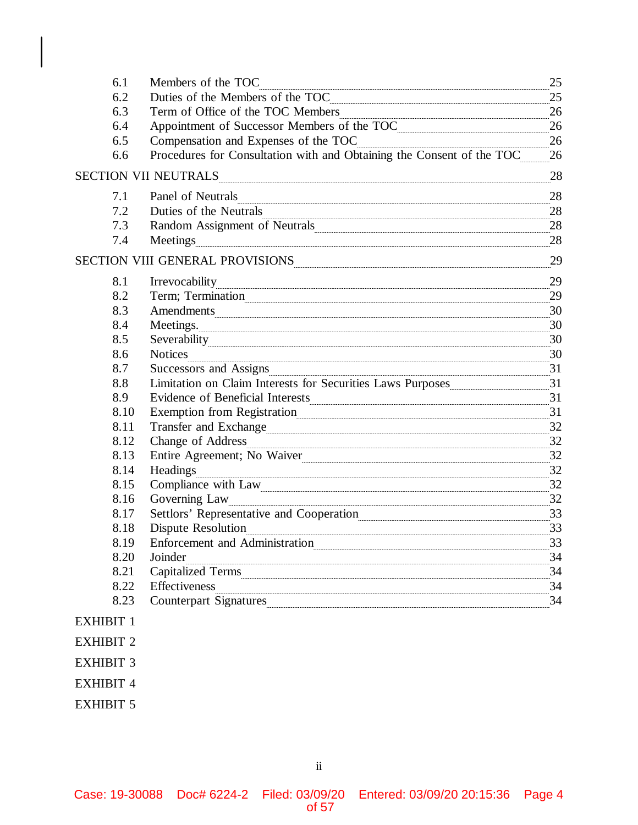| 6.1              | Members of the TOC                                                    | 25 |
|------------------|-----------------------------------------------------------------------|----|
| 6.2              | Duties of the Members of the TOC                                      | 25 |
| 6.3              | Term of Office of the TOC Members                                     | 26 |
| 6.4              | Appointment of Successor Members of the TOC                           | 26 |
| 6.5              | Compensation and Expenses of the TOC                                  |    |
| 6.6              | Procedures for Consultation with and Obtaining the Consent of the TOC | 26 |
|                  | <b>SECTION VII NEUTRALS</b>                                           | 28 |
| 7.1              | $\overline{\phantom{a}28}$<br>Panel of Neutrals                       |    |
| 7.2              | Duties of the Neutrals                                                | 28 |
| 7.3              | Random Assignment of Neutrals                                         | 28 |
| 7.4              | Meetings                                                              | 28 |
|                  | SECTION VIII GENERAL PROVISIONS <b>SECTION</b>                        | 29 |
| 8.1              | Irrevocability                                                        | 29 |
| 8.2              |                                                                       |    |
| 8.3              | Amendments                                                            | 30 |
| 8.4              | Meetings.                                                             | 30 |
| 8.5              | Severability                                                          | 30 |
| 8.6              | <b>Notices</b>                                                        | 30 |
| 8.7              | Successors and Assigns 31                                             |    |
| 8.8              | Limitation on Claim Interests for Securities Laws Purposes 31         |    |
| 8.9              | Evidence of Beneficial Interests                                      | 31 |
| 8.10             | Exemption from Registration                                           | 31 |
| 8.11             | Transfer and Exchange                                                 |    |
| 8.12             | Change of Address                                                     | 32 |
| 8.13             | Entire Agreement; No Waiver                                           | 32 |
| 8.14             | Headings                                                              | 32 |
| 8.15             | Compliance with Law 32                                                |    |
| 8.16             | Governing Law                                                         | 32 |
| 8.17             | Settlors' Representative and Cooperation                              | 33 |
| 8.18             | <b>Dispute Resolution</b><br>$\overline{\phantom{a}33}$               |    |
| 8.19             | Enforcement and Administration                                        | 33 |
| 8.20             | Joinder                                                               | 34 |
| 8.21             | Capitalized Terms                                                     | 34 |
| 8.22             | Effectiveness                                                         | 34 |
| 8.23             | Counterpart Signatures                                                | 34 |
| <b>EXHIBIT 1</b> |                                                                       |    |
| <b>EXHIBIT 2</b> |                                                                       |    |

EXHIBIT 4

EXHIBIT 5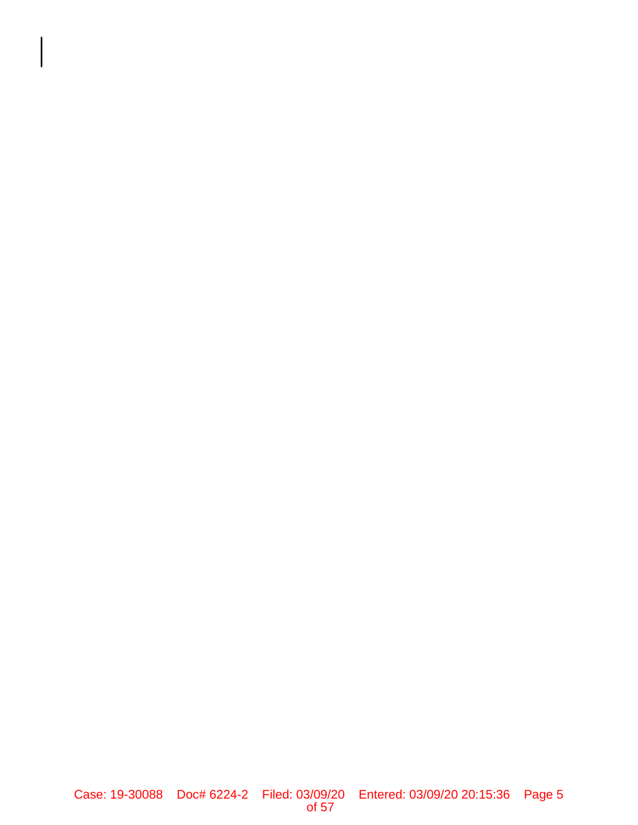Case: 19-30088 Doc# 6224-2 Filed: 03/09/20 Entered: 03/09/20 20:15:36 Page 5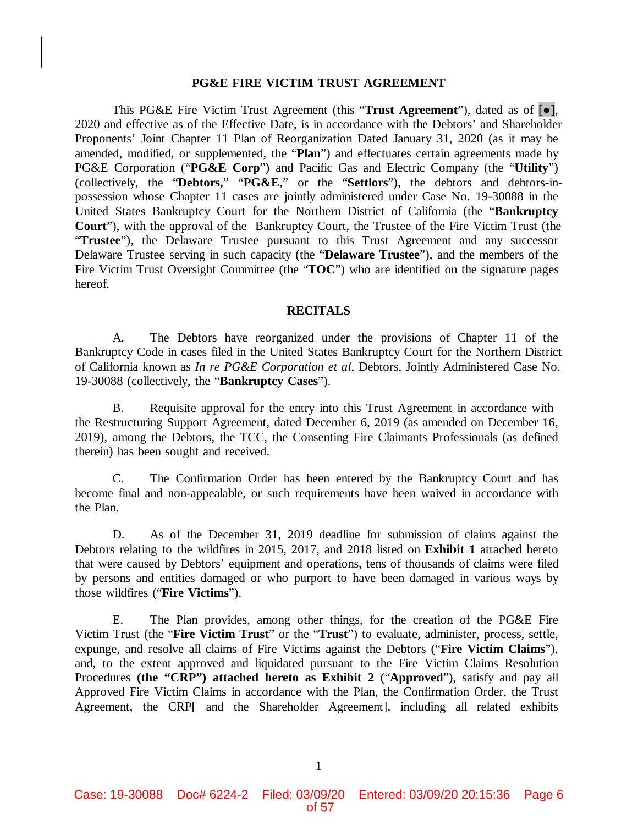#### **PG&E FIRE VICTIM TRUST AGREEMENT**

This PG&E Fire Victim Trust Agreement (this "**Trust Agreement**"), dated as of [●], 2020 and effective as of the Effective Date, is in accordance with the Debtors' and Shareholder Proponents' Joint Chapter 11 Plan of Reorganization Dated January 31, 2020 (as it may be amended, modified, or supplemented, the "**Plan**") and effectuates certain agreements made by PG&E Corporation ("**PG&E Corp**") and Pacific Gas and Electric Company (the "**Utility**") (collectively, the "**Debtors,**" "**PG&E**," or the "**Settlors**"), the debtors and debtors-inpossession whose Chapter 11 cases are jointly administered under Case No. 19-30088 in the United States Bankruptcy Court for the Northern District of California (the "**Bankruptcy Court**"), with the approval of the Bankruptcy Court, the Trustee of the Fire Victim Trust (the "**Trustee**"), the Delaware Trustee pursuant to this Trust Agreement and any successor Delaware Trustee serving in such capacity (the "**Delaware Trustee**"), and the members of the Fire Victim Trust Oversight Committee (the "**TOC**") who are identified on the signature pages hereof.

#### **RECITALS**

A. The Debtors have reorganized under the provisions of Chapter 11 of the Bankruptcy Code in cases filed in the United States Bankruptcy Court for the Northern District of California known as *In re PG&E Corporation et al*, Debtors, Jointly Administered Case No. 19-30088 (collectively, the "**Bankruptcy Cases**").

B. Requisite approval for the entry into this Trust Agreement in accordance with the Restructuring Support Agreement, dated December 6, 2019 (as amended on December 16, 2019), among the Debtors, the TCC, the Consenting Fire Claimants Professionals (as defined therein) has been sought and received.

C. The Confirmation Order has been entered by the Bankruptcy Court and has become final and non-appealable, or such requirements have been waived in accordance with the Plan.

D. As of the December 31, 2019 deadline for submission of claims against the Debtors relating to the wildfires in 2015, 2017, and 2018 listed on **Exhibit 1** attached hereto that were caused by Debtors' equipment and operations, tens of thousands of claims were filed by persons and entities damaged or who purport to have been damaged in various ways by those wildfires ("**Fire Victims**").

E. The Plan provides, among other things, for the creation of the PG&E Fire Victim Trust (the "**Fire Victim Trust**" or the "**Trust**") to evaluate, administer, process, settle, expunge, and resolve all claims of Fire Victims against the Debtors ("**Fire Victim Claims**"), and, to the extent approved and liquidated pursuant to the Fire Victim Claims Resolution Procedures **(the "CRP") attached hereto as Exhibit 2** ("**Approved**"), satisfy and pay all Approved Fire Victim Claims in accordance with the Plan, the Confirmation Order, the Trust Agreement, the CRP[ and the Shareholder Agreement], including all related exhibits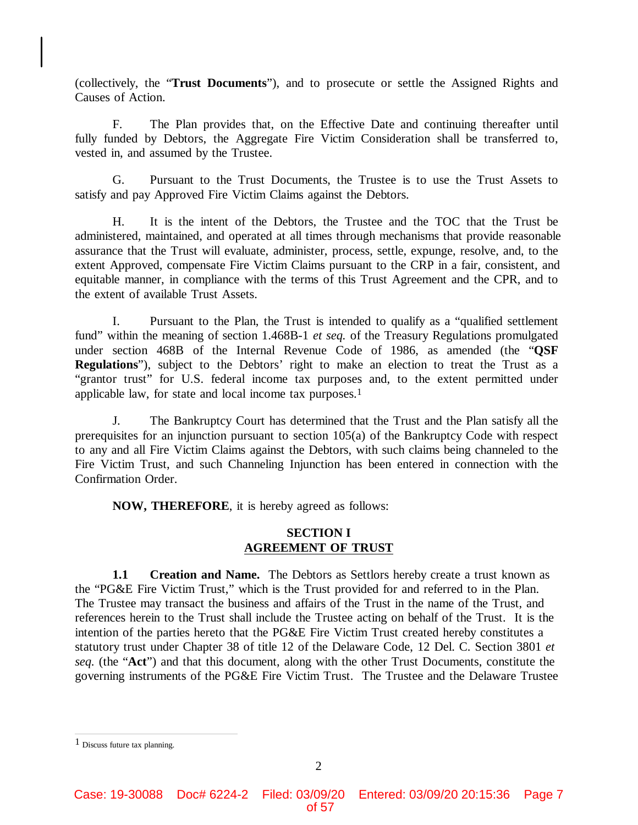(collectively, the "**Trust Documents**"), and to prosecute or settle the Assigned Rights and Causes of Action.

F. The Plan provides that, on the Effective Date and continuing thereafter until fully funded by Debtors, the Aggregate Fire Victim Consideration shall be transferred to, vested in, and assumed by the Trustee.

G. Pursuant to the Trust Documents, the Trustee is to use the Trust Assets to satisfy and pay Approved Fire Victim Claims against the Debtors.

H. It is the intent of the Debtors, the Trustee and the TOC that the Trust be administered, maintained, and operated at all times through mechanisms that provide reasonable assurance that the Trust will evaluate, administer, process, settle, expunge, resolve, and, to the extent Approved, compensate Fire Victim Claims pursuant to the CRP in a fair, consistent, and equitable manner, in compliance with the terms of this Trust Agreement and the CPR, and to the extent of available Trust Assets.

I. Pursuant to the Plan, the Trust is intended to qualify as a "qualified settlement fund" within the meaning of section 1.468B-1 *et seq.* of the Treasury Regulations promulgated under section 468B of the Internal Revenue Code of 1986, as amended (the "**QSF Regulations**"), subject to the Debtors' right to make an election to treat the Trust as a "grantor trust" for U.S. federal income tax purposes and, to the extent permitted under applicable law, for state and local income tax purposes.1

J. The Bankruptcy Court has determined that the Trust and the Plan satisfy all the prerequisites for an injunction pursuant to section 105(a) of the Bankruptcy Code with respect to any and all Fire Victim Claims against the Debtors, with such claims being channeled to the Fire Victim Trust, and such Channeling Injunction has been entered in connection with the Confirmation Order.

**NOW, THEREFORE**, it is hereby agreed as follows:

## **SECTION I AGREEMENT OF TRUST**

**1.1 Creation and Name.** The Debtors as Settlors hereby create a trust known as the "PG&E Fire Victim Trust," which is the Trust provided for and referred to in the Plan. The Trustee may transact the business and affairs of the Trust in the name of the Trust, and references herein to the Trust shall include the Trustee acting on behalf of the Trust. It is the intention of the parties hereto that the PG&E Fire Victim Trust created hereby constitutes a statutory trust under Chapter 38 of title 12 of the Delaware Code, 12 Del. C. Section 3801 *et seq.* (the "**Act**") and that this document, along with the other Trust Documents, constitute the governing instruments of the PG&E Fire Victim Trust. The Trustee and the Delaware Trustee

<sup>1</sup> Discuss future tax planning.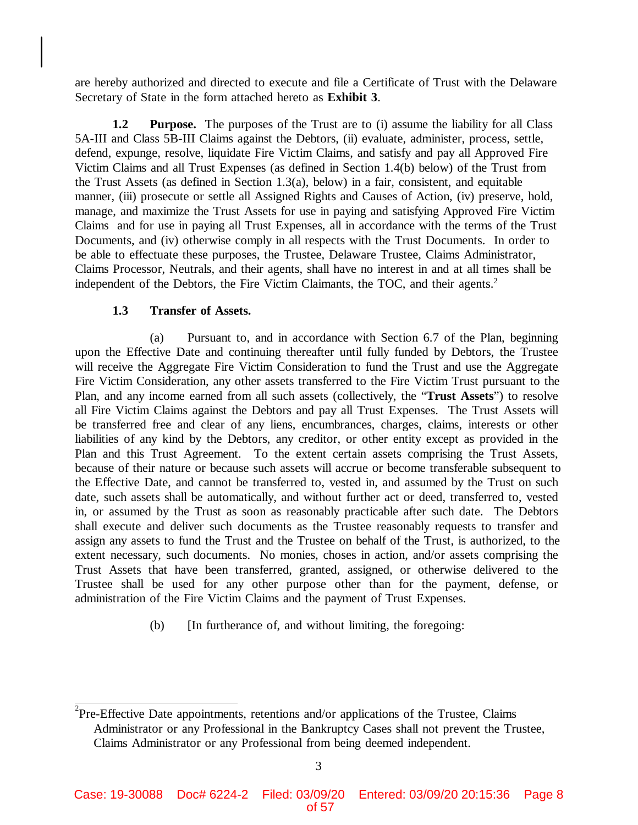are hereby authorized and directed to execute and file a Certificate of Trust with the Delaware Secretary of State in the form attached hereto as **Exhibit 3**.

**1.2 Purpose.** The purposes of the Trust are to (i) assume the liability for all Class 5A-III and Class 5B-III Claims against the Debtors, (ii) evaluate, administer, process, settle, defend, expunge, resolve, liquidate Fire Victim Claims, and satisfy and pay all Approved Fire Victim Claims and all Trust Expenses (as defined in Section 1.4(b) below) of the Trust from the Trust Assets (as defined in Section 1.3(a), below) in a fair, consistent, and equitable manner, (iii) prosecute or settle all Assigned Rights and Causes of Action, (iv) preserve, hold, manage, and maximize the Trust Assets for use in paying and satisfying Approved Fire Victim Claims and for use in paying all Trust Expenses, all in accordance with the terms of the Trust Documents, and (iv) otherwise comply in all respects with the Trust Documents. In order to be able to effectuate these purposes, the Trustee, Delaware Trustee, Claims Administrator, Claims Processor, Neutrals, and their agents, shall have no interest in and at all times shall be independent of the Debtors, the Fire Victim Claimants, the TOC, and their agents.<sup>2</sup>

### **1.3 Transfer of Assets.**

(a) Pursuant to, and in accordance with Section 6.7 of the Plan, beginning upon the Effective Date and continuing thereafter until fully funded by Debtors, the Trustee will receive the Aggregate Fire Victim Consideration to fund the Trust and use the Aggregate Fire Victim Consideration, any other assets transferred to the Fire Victim Trust pursuant to the Plan, and any income earned from all such assets (collectively, the "**Trust Assets**") to resolve all Fire Victim Claims against the Debtors and pay all Trust Expenses. The Trust Assets will be transferred free and clear of any liens, encumbrances, charges, claims, interests or other liabilities of any kind by the Debtors, any creditor, or other entity except as provided in the Plan and this Trust Agreement. To the extent certain assets comprising the Trust Assets, because of their nature or because such assets will accrue or become transferable subsequent to the Effective Date, and cannot be transferred to, vested in, and assumed by the Trust on such date, such assets shall be automatically, and without further act or deed, transferred to, vested in, or assumed by the Trust as soon as reasonably practicable after such date. The Debtors shall execute and deliver such documents as the Trustee reasonably requests to transfer and assign any assets to fund the Trust and the Trustee on behalf of the Trust, is authorized, to the extent necessary, such documents. No monies, choses in action, and/or assets comprising the Trust Assets that have been transferred, granted, assigned, or otherwise delivered to the Trustee shall be used for any other purpose other than for the payment, defense, or administration of the Fire Victim Claims and the payment of Trust Expenses.

(b) [In furtherance of, and without limiting, the foregoing:

<sup>&</sup>lt;sup>2</sup>Pre-Effective Date appointments, retentions and/or applications of the Trustee, Claims Administrator or any Professional in the Bankruptcy Cases shall not prevent the Trustee, Claims Administrator or any Professional from being deemed independent.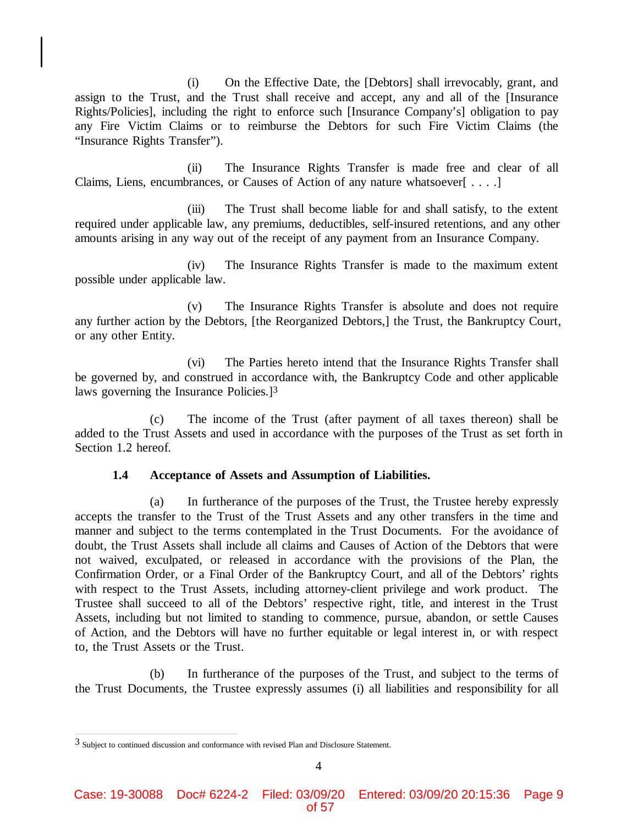(i) On the Effective Date, the [Debtors] shall irrevocably, grant, and assign to the Trust, and the Trust shall receive and accept, any and all of the [Insurance Rights/Policies], including the right to enforce such [Insurance Company's] obligation to pay any Fire Victim Claims or to reimburse the Debtors for such Fire Victim Claims (the "Insurance Rights Transfer").

(ii) The Insurance Rights Transfer is made free and clear of all Claims, Liens, encumbrances, or Causes of Action of any nature whatsoever[ . . . .]

(iii) The Trust shall become liable for and shall satisfy, to the extent required under applicable law, any premiums, deductibles, self-insured retentions, and any other amounts arising in any way out of the receipt of any payment from an Insurance Company.

(iv) The Insurance Rights Transfer is made to the maximum extent possible under applicable law.

(v) The Insurance Rights Transfer is absolute and does not require any further action by the Debtors, [the Reorganized Debtors,] the Trust, the Bankruptcy Court, or any other Entity.

(vi) The Parties hereto intend that the Insurance Rights Transfer shall be governed by, and construed in accordance with, the Bankruptcy Code and other applicable laws governing the Insurance Policies.]3

(c) The income of the Trust (after payment of all taxes thereon) shall be added to the Trust Assets and used in accordance with the purposes of the Trust as set forth in Section 1.2 hereof.

#### **1.4 Acceptance of Assets and Assumption of Liabilities.**

(a) In furtherance of the purposes of the Trust, the Trustee hereby expressly accepts the transfer to the Trust of the Trust Assets and any other transfers in the time and manner and subject to the terms contemplated in the Trust Documents. For the avoidance of doubt, the Trust Assets shall include all claims and Causes of Action of the Debtors that were not waived, exculpated, or released in accordance with the provisions of the Plan, the Confirmation Order, or a Final Order of the Bankruptcy Court, and all of the Debtors' rights with respect to the Trust Assets, including attorney-client privilege and work product. The Trustee shall succeed to all of the Debtors' respective right, title, and interest in the Trust Assets, including but not limited to standing to commence, pursue, abandon, or settle Causes of Action, and the Debtors will have no further equitable or legal interest in, or with respect to, the Trust Assets or the Trust.

(b) In furtherance of the purposes of the Trust, and subject to the terms of the Trust Documents, the Trustee expressly assumes (i) all liabilities and responsibility for all

<sup>3</sup> Subject to continued discussion and conformance with revised Plan and Disclosure Statement.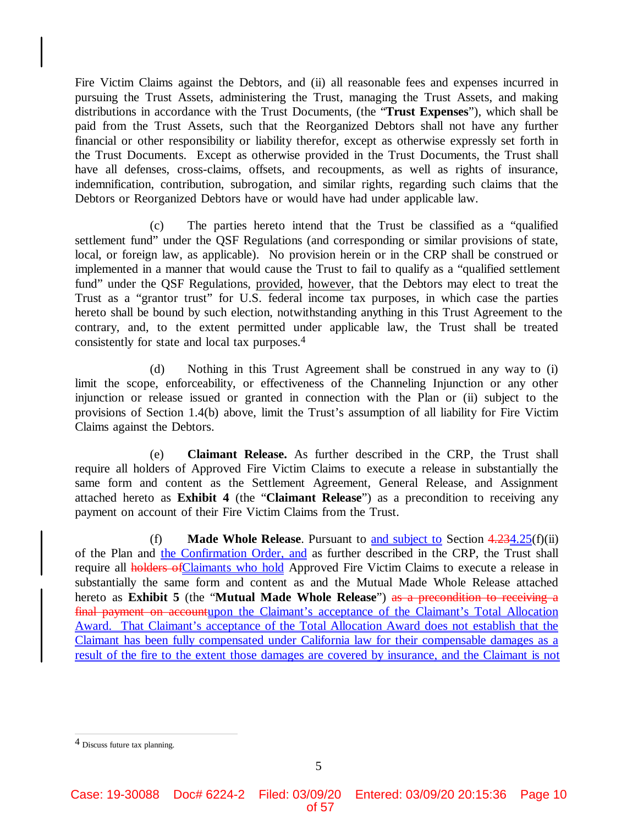Fire Victim Claims against the Debtors, and (ii) all reasonable fees and expenses incurred in pursuing the Trust Assets, administering the Trust, managing the Trust Assets, and making distributions in accordance with the Trust Documents, (the "**Trust Expenses**"), which shall be paid from the Trust Assets, such that the Reorganized Debtors shall not have any further financial or other responsibility or liability therefor, except as otherwise expressly set forth in the Trust Documents. Except as otherwise provided in the Trust Documents, the Trust shall have all defenses, cross-claims, offsets, and recoupments, as well as rights of insurance, indemnification, contribution, subrogation, and similar rights, regarding such claims that the Debtors or Reorganized Debtors have or would have had under applicable law.

(c) The parties hereto intend that the Trust be classified as a "qualified settlement fund" under the QSF Regulations (and corresponding or similar provisions of state, local, or foreign law, as applicable). No provision herein or in the CRP shall be construed or implemented in a manner that would cause the Trust to fail to qualify as a "qualified settlement fund" under the QSF Regulations, provided, however, that the Debtors may elect to treat the Trust as a "grantor trust" for U.S. federal income tax purposes, in which case the parties hereto shall be bound by such election, notwithstanding anything in this Trust Agreement to the contrary, and, to the extent permitted under applicable law, the Trust shall be treated consistently for state and local tax purposes.4

(d) Nothing in this Trust Agreement shall be construed in any way to (i) limit the scope, enforceability, or effectiveness of the Channeling Injunction or any other injunction or release issued or granted in connection with the Plan or (ii) subject to the provisions of Section 1.4(b) above, limit the Trust's assumption of all liability for Fire Victim Claims against the Debtors.

(e) **Claimant Release.** As further described in the CRP, the Trust shall require all holders of Approved Fire Victim Claims to execute a release in substantially the same form and content as the Settlement Agreement, General Release, and Assignment attached hereto as **Exhibit 4** (the "**Claimant Release**") as a precondition to receiving any payment on account of their Fire Victim Claims from the Trust.

(f) **Made Whole Release**. Pursuant to and subject to Section 4.234.25(f)(ii) of the Plan and the Confirmation Order, and as further described in the CRP, the Trust shall require all holders ofClaimants who hold Approved Fire Victim Claims to execute a release in substantially the same form and content as and the Mutual Made Whole Release attached hereto as **Exhibit 5** (the "**Mutual Made Whole Release**") as a precondition to receiving a final payment on accountupon the Claimant's acceptance of the Claimant's Total Allocation Award. That Claimant's acceptance of the Total Allocation Award does not establish that the Claimant has been fully compensated under California law for their compensable damages as a result of the fire to the extent those damages are covered by insurance, and the Claimant is not

<sup>4</sup> Discuss future tax planning.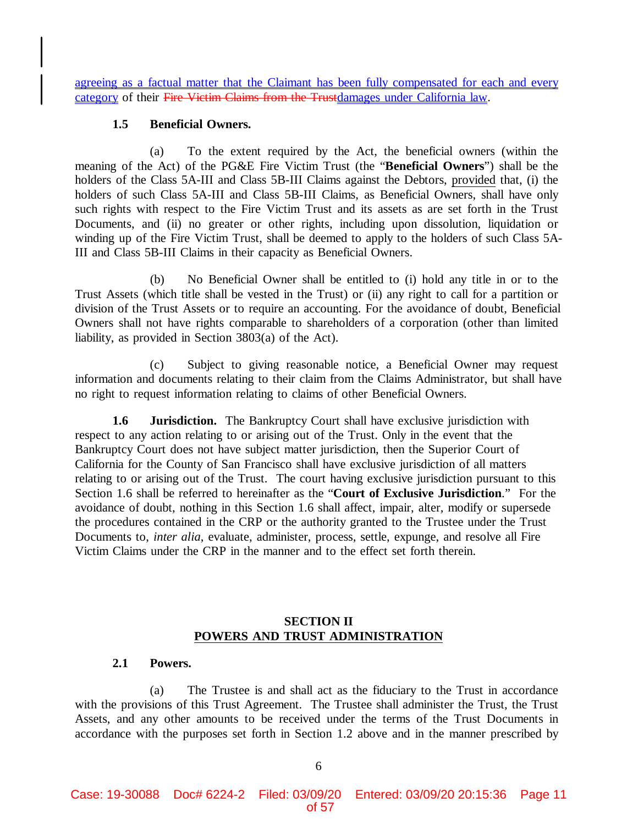agreeing as a factual matter that the Claimant has been fully compensated for each and every category of their Fire Victim Claims from the Trustdamages under California law.

#### **1.5 Beneficial Owners.**

(a) To the extent required by the Act, the beneficial owners (within the meaning of the Act) of the PG&E Fire Victim Trust (the "**Beneficial Owners**") shall be the holders of the Class 5A-III and Class 5B-III Claims against the Debtors, provided that, (i) the holders of such Class 5A-III and Class 5B-III Claims, as Beneficial Owners, shall have only such rights with respect to the Fire Victim Trust and its assets as are set forth in the Trust Documents, and (ii) no greater or other rights, including upon dissolution, liquidation or winding up of the Fire Victim Trust, shall be deemed to apply to the holders of such Class 5A-III and Class 5B-III Claims in their capacity as Beneficial Owners.

(b) No Beneficial Owner shall be entitled to (i) hold any title in or to the Trust Assets (which title shall be vested in the Trust) or (ii) any right to call for a partition or division of the Trust Assets or to require an accounting. For the avoidance of doubt, Beneficial Owners shall not have rights comparable to shareholders of a corporation (other than limited liability, as provided in Section 3803(a) of the Act).

(c) Subject to giving reasonable notice, a Beneficial Owner may request information and documents relating to their claim from the Claims Administrator, but shall have no right to request information relating to claims of other Beneficial Owners.

**1.6 Jurisdiction.** The Bankruptcy Court shall have exclusive jurisdiction with respect to any action relating to or arising out of the Trust. Only in the event that the Bankruptcy Court does not have subject matter jurisdiction, then the Superior Court of California for the County of San Francisco shall have exclusive jurisdiction of all matters relating to or arising out of the Trust. The court having exclusive jurisdiction pursuant to this Section 1.6 shall be referred to hereinafter as the "**Court of Exclusive Jurisdiction**." For the avoidance of doubt, nothing in this Section 1.6 shall affect, impair, alter, modify or supersede the procedures contained in the CRP or the authority granted to the Trustee under the Trust Documents to, *inter alia*, evaluate, administer, process, settle, expunge, and resolve all Fire Victim Claims under the CRP in the manner and to the effect set forth therein.

## **SECTION II POWERS AND TRUST ADMINISTRATION**

#### **2.1 Powers.**

(a) The Trustee is and shall act as the fiduciary to the Trust in accordance with the provisions of this Trust Agreement. The Trustee shall administer the Trust, the Trust Assets, and any other amounts to be received under the terms of the Trust Documents in accordance with the purposes set forth in Section 1.2 above and in the manner prescribed by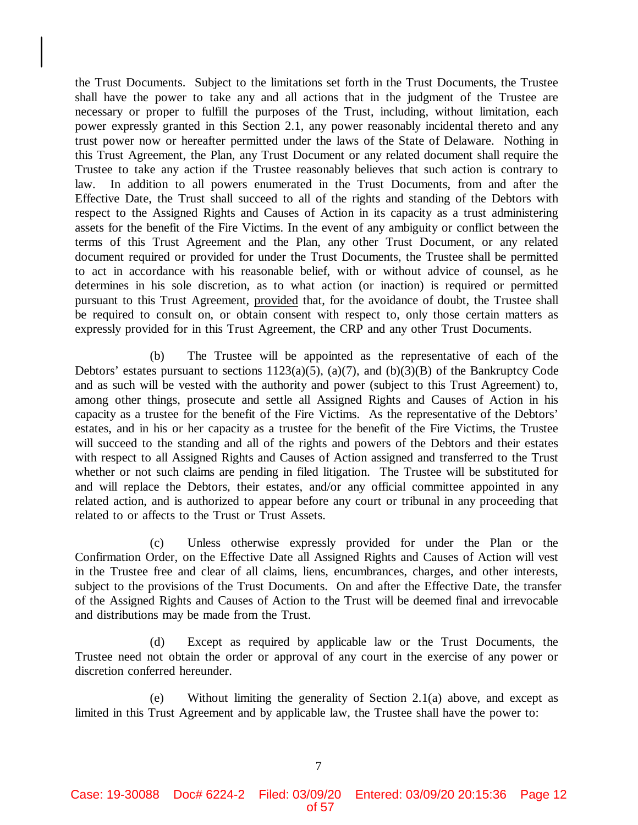the Trust Documents. Subject to the limitations set forth in the Trust Documents, the Trustee shall have the power to take any and all actions that in the judgment of the Trustee are necessary or proper to fulfill the purposes of the Trust, including, without limitation, each power expressly granted in this Section 2.1, any power reasonably incidental thereto and any trust power now or hereafter permitted under the laws of the State of Delaware. Nothing in this Trust Agreement, the Plan, any Trust Document or any related document shall require the Trustee to take any action if the Trustee reasonably believes that such action is contrary to law. In addition to all powers enumerated in the Trust Documents, from and after the Effective Date, the Trust shall succeed to all of the rights and standing of the Debtors with respect to the Assigned Rights and Causes of Action in its capacity as a trust administering assets for the benefit of the Fire Victims. In the event of any ambiguity or conflict between the terms of this Trust Agreement and the Plan, any other Trust Document, or any related document required or provided for under the Trust Documents, the Trustee shall be permitted to act in accordance with his reasonable belief, with or without advice of counsel, as he determines in his sole discretion, as to what action (or inaction) is required or permitted pursuant to this Trust Agreement, provided that, for the avoidance of doubt, the Trustee shall be required to consult on, or obtain consent with respect to, only those certain matters as expressly provided for in this Trust Agreement, the CRP and any other Trust Documents.

(b) The Trustee will be appointed as the representative of each of the Debtors' estates pursuant to sections 1123(a)(5), (a)(7), and (b)(3)(B) of the Bankruptcy Code and as such will be vested with the authority and power (subject to this Trust Agreement) to, among other things, prosecute and settle all Assigned Rights and Causes of Action in his capacity as a trustee for the benefit of the Fire Victims. As the representative of the Debtors' estates, and in his or her capacity as a trustee for the benefit of the Fire Victims, the Trustee will succeed to the standing and all of the rights and powers of the Debtors and their estates with respect to all Assigned Rights and Causes of Action assigned and transferred to the Trust whether or not such claims are pending in filed litigation. The Trustee will be substituted for and will replace the Debtors, their estates, and/or any official committee appointed in any related action, and is authorized to appear before any court or tribunal in any proceeding that related to or affects to the Trust or Trust Assets.

(c) Unless otherwise expressly provided for under the Plan or the Confirmation Order, on the Effective Date all Assigned Rights and Causes of Action will vest in the Trustee free and clear of all claims, liens, encumbrances, charges, and other interests, subject to the provisions of the Trust Documents. On and after the Effective Date, the transfer of the Assigned Rights and Causes of Action to the Trust will be deemed final and irrevocable and distributions may be made from the Trust.

(d) Except as required by applicable law or the Trust Documents, the Trustee need not obtain the order or approval of any court in the exercise of any power or discretion conferred hereunder.

Without limiting the generality of Section 2.1(a) above, and except as limited in this Trust Agreement and by applicable law, the Trustee shall have the power to: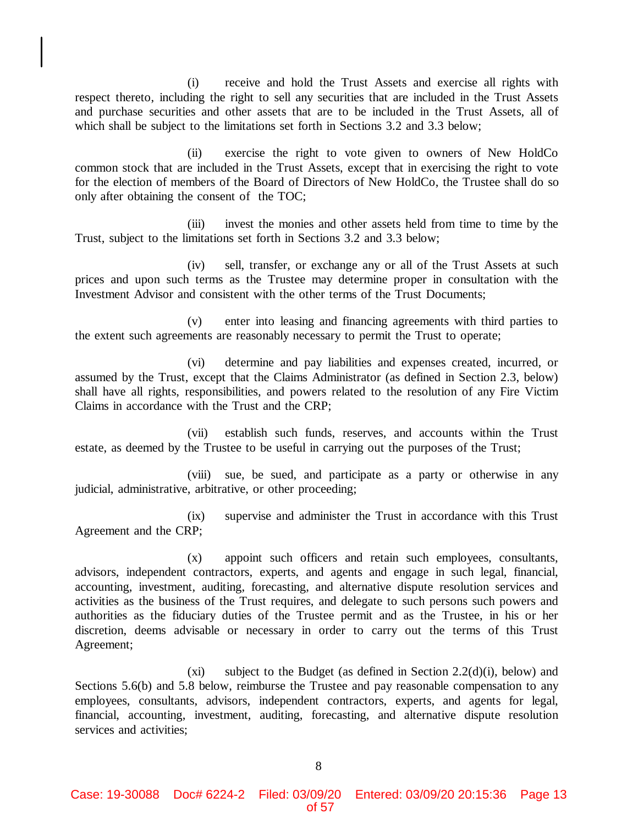(i) receive and hold the Trust Assets and exercise all rights with respect thereto, including the right to sell any securities that are included in the Trust Assets and purchase securities and other assets that are to be included in the Trust Assets, all of which shall be subject to the limitations set forth in Sections 3.2 and 3.3 below;

(ii) exercise the right to vote given to owners of New HoldCo common stock that are included in the Trust Assets, except that in exercising the right to vote for the election of members of the Board of Directors of New HoldCo, the Trustee shall do so only after obtaining the consent of the TOC;

(iii) invest the monies and other assets held from time to time by the Trust, subject to the limitations set forth in Sections 3.2 and 3.3 below;

(iv) sell, transfer, or exchange any or all of the Trust Assets at such prices and upon such terms as the Trustee may determine proper in consultation with the Investment Advisor and consistent with the other terms of the Trust Documents;

(v) enter into leasing and financing agreements with third parties to the extent such agreements are reasonably necessary to permit the Trust to operate;

(vi) determine and pay liabilities and expenses created, incurred, or assumed by the Trust, except that the Claims Administrator (as defined in Section 2.3, below) shall have all rights, responsibilities, and powers related to the resolution of any Fire Victim Claims in accordance with the Trust and the CRP;

(vii) establish such funds, reserves, and accounts within the Trust estate, as deemed by the Trustee to be useful in carrying out the purposes of the Trust;

(viii) sue, be sued, and participate as a party or otherwise in any judicial, administrative, arbitrative, or other proceeding;

(ix) supervise and administer the Trust in accordance with this Trust Agreement and the CRP;

(x) appoint such officers and retain such employees, consultants, advisors, independent contractors, experts, and agents and engage in such legal, financial, accounting, investment, auditing, forecasting, and alternative dispute resolution services and activities as the business of the Trust requires, and delegate to such persons such powers and authorities as the fiduciary duties of the Trustee permit and as the Trustee, in his or her discretion, deems advisable or necessary in order to carry out the terms of this Trust Agreement;

(xi) subject to the Budget (as defined in Section  $2.2(d)(i)$ , below) and Sections 5.6(b) and 5.8 below, reimburse the Trustee and pay reasonable compensation to any employees, consultants, advisors, independent contractors, experts, and agents for legal, financial, accounting, investment, auditing, forecasting, and alternative dispute resolution services and activities;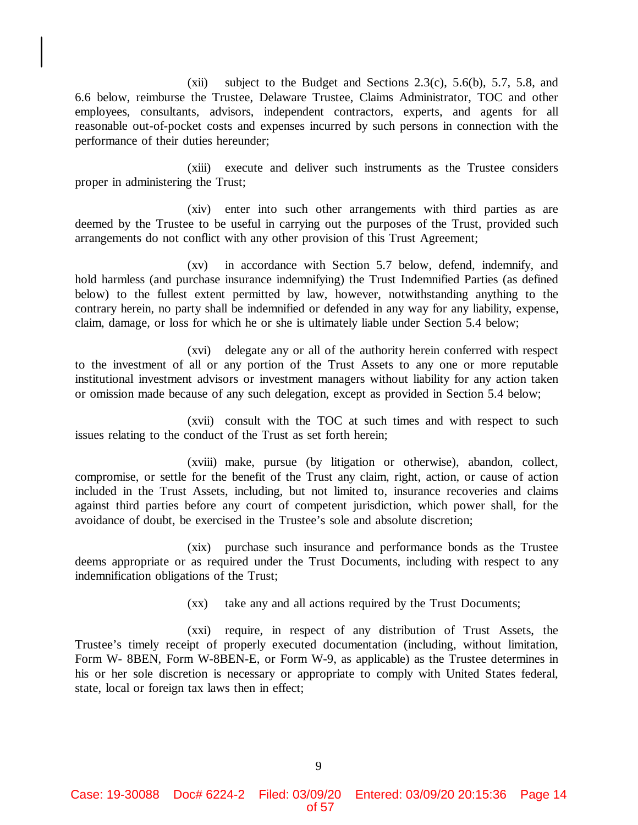(xii) subject to the Budget and Sections 2.3(c),  $5.6(b)$ ,  $5.7$ ,  $5.8$ , and 6.6 below, reimburse the Trustee, Delaware Trustee, Claims Administrator, TOC and other employees, consultants, advisors, independent contractors, experts, and agents for all reasonable out-of-pocket costs and expenses incurred by such persons in connection with the performance of their duties hereunder;

(xiii) execute and deliver such instruments as the Trustee considers proper in administering the Trust;

(xiv) enter into such other arrangements with third parties as are deemed by the Trustee to be useful in carrying out the purposes of the Trust, provided such arrangements do not conflict with any other provision of this Trust Agreement;

(xv) in accordance with Section 5.7 below, defend, indemnify, and hold harmless (and purchase insurance indemnifying) the Trust Indemnified Parties (as defined below) to the fullest extent permitted by law, however, notwithstanding anything to the contrary herein, no party shall be indemnified or defended in any way for any liability, expense, claim, damage, or loss for which he or she is ultimately liable under Section 5.4 below;

(xvi) delegate any or all of the authority herein conferred with respect to the investment of all or any portion of the Trust Assets to any one or more reputable institutional investment advisors or investment managers without liability for any action taken or omission made because of any such delegation, except as provided in Section 5.4 below;

(xvii) consult with the TOC at such times and with respect to such issues relating to the conduct of the Trust as set forth herein;

(xviii) make, pursue (by litigation or otherwise), abandon, collect, compromise, or settle for the benefit of the Trust any claim, right, action, or cause of action included in the Trust Assets, including, but not limited to, insurance recoveries and claims against third parties before any court of competent jurisdiction, which power shall, for the avoidance of doubt, be exercised in the Trustee's sole and absolute discretion;

(xix) purchase such insurance and performance bonds as the Trustee deems appropriate or as required under the Trust Documents, including with respect to any indemnification obligations of the Trust;

(xx) take any and all actions required by the Trust Documents;

(xxi) require, in respect of any distribution of Trust Assets, the Trustee's timely receipt of properly executed documentation (including, without limitation, Form W- 8BEN, Form W-8BEN-E, or Form W-9, as applicable) as the Trustee determines in his or her sole discretion is necessary or appropriate to comply with United States federal, state, local or foreign tax laws then in effect;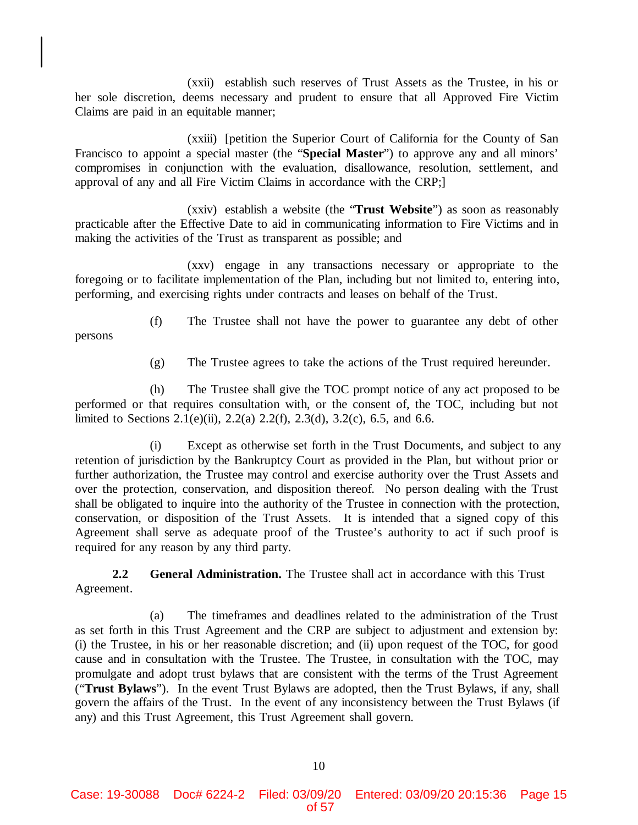(xxii) establish such reserves of Trust Assets as the Trustee, in his or her sole discretion, deems necessary and prudent to ensure that all Approved Fire Victim Claims are paid in an equitable manner;

(xxiii) [petition the Superior Court of California for the County of San Francisco to appoint a special master (the "**Special Master**") to approve any and all minors' compromises in conjunction with the evaluation, disallowance, resolution, settlement, and approval of any and all Fire Victim Claims in accordance with the CRP;]

(xxiv) establish a website (the "**Trust Website**") as soon as reasonably practicable after the Effective Date to aid in communicating information to Fire Victims and in making the activities of the Trust as transparent as possible; and

(xxv) engage in any transactions necessary or appropriate to the foregoing or to facilitate implementation of the Plan, including but not limited to, entering into, performing, and exercising rights under contracts and leases on behalf of the Trust.

persons

(f) The Trustee shall not have the power to guarantee any debt of other

(g) The Trustee agrees to take the actions of the Trust required hereunder.

(h) The Trustee shall give the TOC prompt notice of any act proposed to be performed or that requires consultation with, or the consent of, the TOC, including but not limited to Sections 2.1(e)(ii), 2.2(a) 2.2(f), 2.3(d), 3.2(c), 6.5, and 6.6.

(i) Except as otherwise set forth in the Trust Documents, and subject to any retention of jurisdiction by the Bankruptcy Court as provided in the Plan, but without prior or further authorization, the Trustee may control and exercise authority over the Trust Assets and over the protection, conservation, and disposition thereof. No person dealing with the Trust shall be obligated to inquire into the authority of the Trustee in connection with the protection, conservation, or disposition of the Trust Assets. It is intended that a signed copy of this Agreement shall serve as adequate proof of the Trustee's authority to act if such proof is required for any reason by any third party.

**2.2 General Administration.** The Trustee shall act in accordance with this Trust Agreement.

(a) The timeframes and deadlines related to the administration of the Trust as set forth in this Trust Agreement and the CRP are subject to adjustment and extension by: (i) the Trustee, in his or her reasonable discretion; and (ii) upon request of the TOC, for good cause and in consultation with the Trustee. The Trustee, in consultation with the TOC, may promulgate and adopt trust bylaws that are consistent with the terms of the Trust Agreement ("**Trust Bylaws**"). In the event Trust Bylaws are adopted, then the Trust Bylaws, if any, shall govern the affairs of the Trust. In the event of any inconsistency between the Trust Bylaws (if any) and this Trust Agreement, this Trust Agreement shall govern.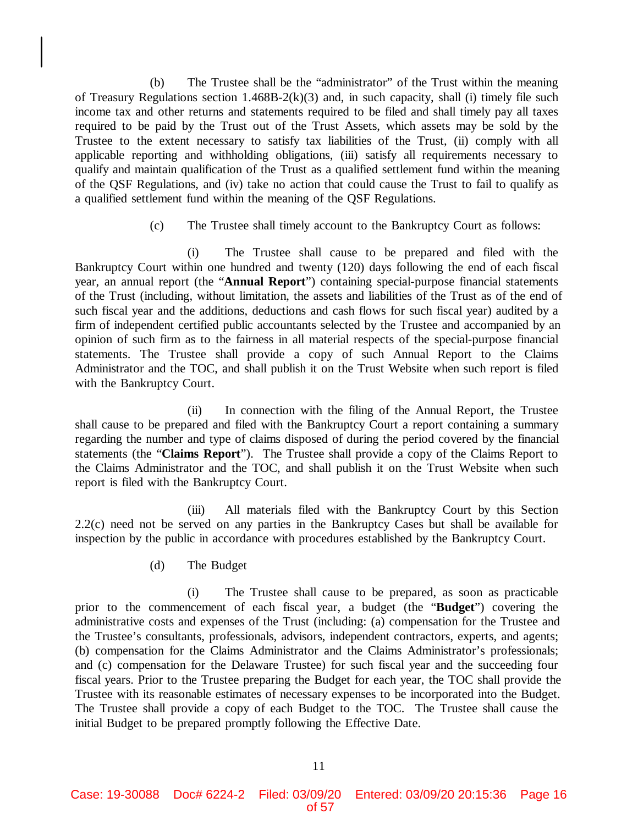(b) The Trustee shall be the "administrator" of the Trust within the meaning of Treasury Regulations section  $1.468B-2(k)(3)$  and, in such capacity, shall (i) timely file such income tax and other returns and statements required to be filed and shall timely pay all taxes required to be paid by the Trust out of the Trust Assets, which assets may be sold by the Trustee to the extent necessary to satisfy tax liabilities of the Trust, (ii) comply with all applicable reporting and withholding obligations, (iii) satisfy all requirements necessary to qualify and maintain qualification of the Trust as a qualified settlement fund within the meaning of the QSF Regulations, and (iv) take no action that could cause the Trust to fail to qualify as a qualified settlement fund within the meaning of the QSF Regulations.

(c) The Trustee shall timely account to the Bankruptcy Court as follows:

(i) The Trustee shall cause to be prepared and filed with the Bankruptcy Court within one hundred and twenty (120) days following the end of each fiscal year, an annual report (the "**Annual Report**") containing special-purpose financial statements of the Trust (including, without limitation, the assets and liabilities of the Trust as of the end of such fiscal year and the additions, deductions and cash flows for such fiscal year) audited by a firm of independent certified public accountants selected by the Trustee and accompanied by an opinion of such firm as to the fairness in all material respects of the special-purpose financial statements. The Trustee shall provide a copy of such Annual Report to the Claims Administrator and the TOC, and shall publish it on the Trust Website when such report is filed with the Bankruptcy Court.

(ii) In connection with the filing of the Annual Report, the Trustee shall cause to be prepared and filed with the Bankruptcy Court a report containing a summary regarding the number and type of claims disposed of during the period covered by the financial statements (the "**Claims Report**"). The Trustee shall provide a copy of the Claims Report to the Claims Administrator and the TOC, and shall publish it on the Trust Website when such report is filed with the Bankruptcy Court.

(iii) All materials filed with the Bankruptcy Court by this Section 2.2(c) need not be served on any parties in the Bankruptcy Cases but shall be available for inspection by the public in accordance with procedures established by the Bankruptcy Court.

(d) The Budget

(i) The Trustee shall cause to be prepared, as soon as practicable prior to the commencement of each fiscal year, a budget (the "**Budget**") covering the administrative costs and expenses of the Trust (including: (a) compensation for the Trustee and the Trustee's consultants, professionals, advisors, independent contractors, experts, and agents; (b) compensation for the Claims Administrator and the Claims Administrator's professionals; and (c) compensation for the Delaware Trustee) for such fiscal year and the succeeding four fiscal years. Prior to the Trustee preparing the Budget for each year, the TOC shall provide the Trustee with its reasonable estimates of necessary expenses to be incorporated into the Budget. The Trustee shall provide a copy of each Budget to the TOC. The Trustee shall cause the initial Budget to be prepared promptly following the Effective Date.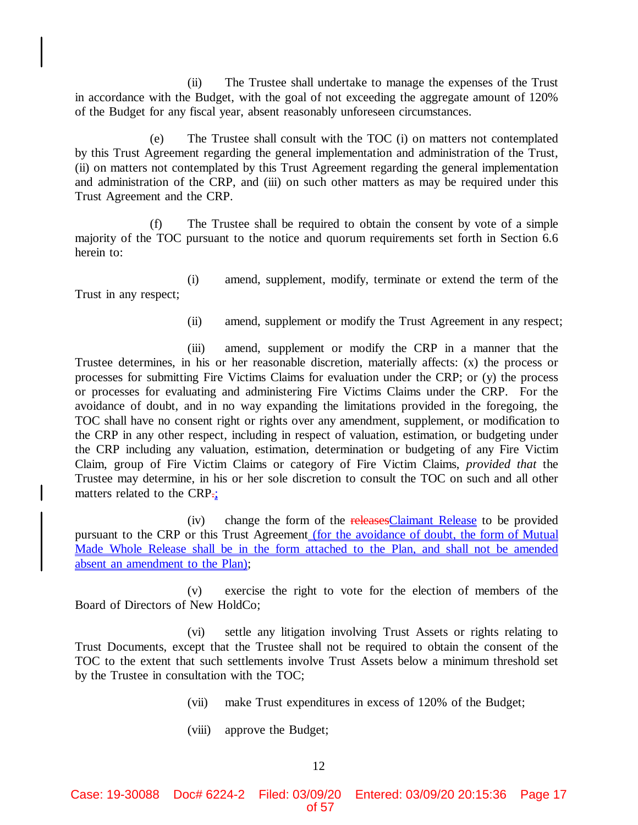(ii) The Trustee shall undertake to manage the expenses of the Trust in accordance with the Budget, with the goal of not exceeding the aggregate amount of 120% of the Budget for any fiscal year, absent reasonably unforeseen circumstances.

(e) The Trustee shall consult with the TOC (i) on matters not contemplated by this Trust Agreement regarding the general implementation and administration of the Trust, (ii) on matters not contemplated by this Trust Agreement regarding the general implementation and administration of the CRP, and (iii) on such other matters as may be required under this Trust Agreement and the CRP.

(f) The Trustee shall be required to obtain the consent by vote of a simple majority of the TOC pursuant to the notice and quorum requirements set forth in Section 6.6 herein to:

(i) amend, supplement, modify, terminate or extend the term of the Trust in any respect;

(ii) amend, supplement or modify the Trust Agreement in any respect;

(iii) amend, supplement or modify the CRP in a manner that the Trustee determines, in his or her reasonable discretion, materially affects: (x) the process or processes for submitting Fire Victims Claims for evaluation under the CRP; or (y) the process or processes for evaluating and administering Fire Victims Claims under the CRP. For the avoidance of doubt, and in no way expanding the limitations provided in the foregoing, the TOC shall have no consent right or rights over any amendment, supplement, or modification to the CRP in any other respect, including in respect of valuation, estimation, or budgeting under the CRP including any valuation, estimation, determination or budgeting of any Fire Victim Claim, group of Fire Victim Claims or category of Fire Victim Claims, *provided that* the Trustee may determine, in his or her sole discretion to consult the TOC on such and all other matters related to the  $CRP_{\tau_{\lambda}}$ 

(iv) change the form of the releasesClaimant Release to be provided pursuant to the CRP or this Trust Agreement (for the avoidance of doubt, the form of Mutual Made Whole Release shall be in the form attached to the Plan, and shall not be amended absent an amendment to the Plan);

(v) exercise the right to vote for the election of members of the Board of Directors of New HoldCo;

(vi) settle any litigation involving Trust Assets or rights relating to Trust Documents, except that the Trustee shall not be required to obtain the consent of the TOC to the extent that such settlements involve Trust Assets below a minimum threshold set by the Trustee in consultation with the TOC;

(vii) make Trust expenditures in excess of 120% of the Budget;

(viii) approve the Budget;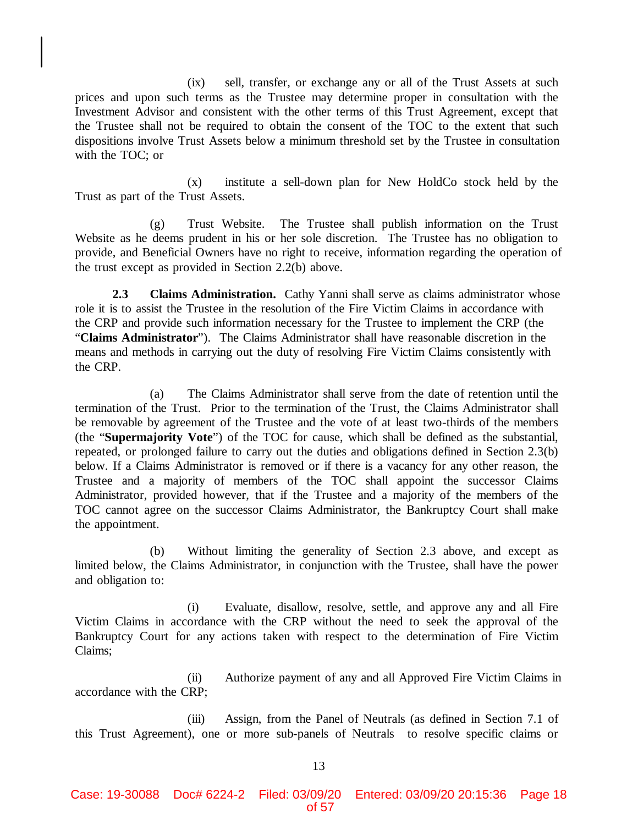(ix) sell, transfer, or exchange any or all of the Trust Assets at such prices and upon such terms as the Trustee may determine proper in consultation with the Investment Advisor and consistent with the other terms of this Trust Agreement, except that the Trustee shall not be required to obtain the consent of the TOC to the extent that such dispositions involve Trust Assets below a minimum threshold set by the Trustee in consultation with the TOC; or

(x) institute a sell-down plan for New HoldCo stock held by the Trust as part of the Trust Assets.

(g) Trust Website. The Trustee shall publish information on the Trust Website as he deems prudent in his or her sole discretion. The Trustee has no obligation to provide, and Beneficial Owners have no right to receive, information regarding the operation of the trust except as provided in Section 2.2(b) above.

**2.3 Claims Administration.** Cathy Yanni shall serve as claims administrator whose role it is to assist the Trustee in the resolution of the Fire Victim Claims in accordance with the CRP and provide such information necessary for the Trustee to implement the CRP (the "**Claims Administrator**"). The Claims Administrator shall have reasonable discretion in the means and methods in carrying out the duty of resolving Fire Victim Claims consistently with the CRP.

(a) The Claims Administrator shall serve from the date of retention until the termination of the Trust. Prior to the termination of the Trust, the Claims Administrator shall be removable by agreement of the Trustee and the vote of at least two-thirds of the members (the "**Supermajority Vote**") of the TOC for cause, which shall be defined as the substantial, repeated, or prolonged failure to carry out the duties and obligations defined in Section 2.3(b) below. If a Claims Administrator is removed or if there is a vacancy for any other reason, the Trustee and a majority of members of the TOC shall appoint the successor Claims Administrator, provided however, that if the Trustee and a majority of the members of the TOC cannot agree on the successor Claims Administrator, the Bankruptcy Court shall make the appointment.

(b) Without limiting the generality of Section 2.3 above, and except as limited below, the Claims Administrator, in conjunction with the Trustee, shall have the power and obligation to:

(i) Evaluate, disallow, resolve, settle, and approve any and all Fire Victim Claims in accordance with the CRP without the need to seek the approval of the Bankruptcy Court for any actions taken with respect to the determination of Fire Victim Claims;

(ii) Authorize payment of any and all Approved Fire Victim Claims in accordance with the CRP;

(iii) Assign, from the Panel of Neutrals (as defined in Section 7.1 of this Trust Agreement), one or more sub-panels of Neutrals to resolve specific claims or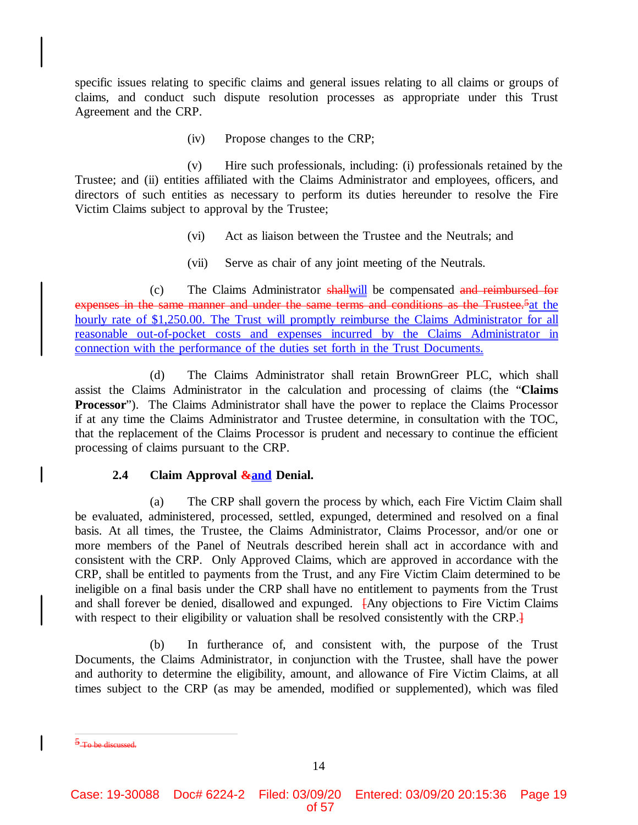specific issues relating to specific claims and general issues relating to all claims or groups of claims, and conduct such dispute resolution processes as appropriate under this Trust Agreement and the CRP.

(iv) Propose changes to the CRP;

(v) Hire such professionals, including: (i) professionals retained by the Trustee; and (ii) entities affiliated with the Claims Administrator and employees, officers, and directors of such entities as necessary to perform its duties hereunder to resolve the Fire Victim Claims subject to approval by the Trustee;

- (vi) Act as liaison between the Trustee and the Neutrals; and
- (vii) Serve as chair of any joint meeting of the Neutrals.

(c) The Claims Administrator shallwill be compensated and reimbursed for expenses in the same manner and under the same terms and conditions as the Trustee.<sup>5</sup>at the hourly rate of \$1,250.00. The Trust will promptly reimburse the Claims Administrator for all reasonable out-of-pocket costs and expenses incurred by the Claims Administrator in connection with the performance of the duties set forth in the Trust Documents.

(d) The Claims Administrator shall retain BrownGreer PLC, which shall assist the Claims Administrator in the calculation and processing of claims (the "**Claims Processor**"). The Claims Administrator shall have the power to replace the Claims Processor if at any time the Claims Administrator and Trustee determine, in consultation with the TOC, that the replacement of the Claims Processor is prudent and necessary to continue the efficient processing of claims pursuant to the CRP.

#### 2.4 Claim Approval **&and** Denial.

The CRP shall govern the process by which, each Fire Victim Claim shall be evaluated, administered, processed, settled, expunged, determined and resolved on a final basis. At all times, the Trustee, the Claims Administrator, Claims Processor, and/or one or more members of the Panel of Neutrals described herein shall act in accordance with and consistent with the CRP. Only Approved Claims, which are approved in accordance with the CRP, shall be entitled to payments from the Trust, and any Fire Victim Claim determined to be ineligible on a final basis under the CRP shall have no entitlement to payments from the Trust and shall forever be denied, disallowed and expunged. Hany objections to Fire Victim Claims with respect to their eligibility or valuation shall be resolved consistently with the CRP.<sup>1</sup>

(b) In furtherance of, and consistent with, the purpose of the Trust Documents, the Claims Administrator, in conjunction with the Trustee, shall have the power and authority to determine the eligibility, amount, and allowance of Fire Victim Claims, at all times subject to the CRP (as may be amended, modified or supplemented), which was filed

5 To be discussed.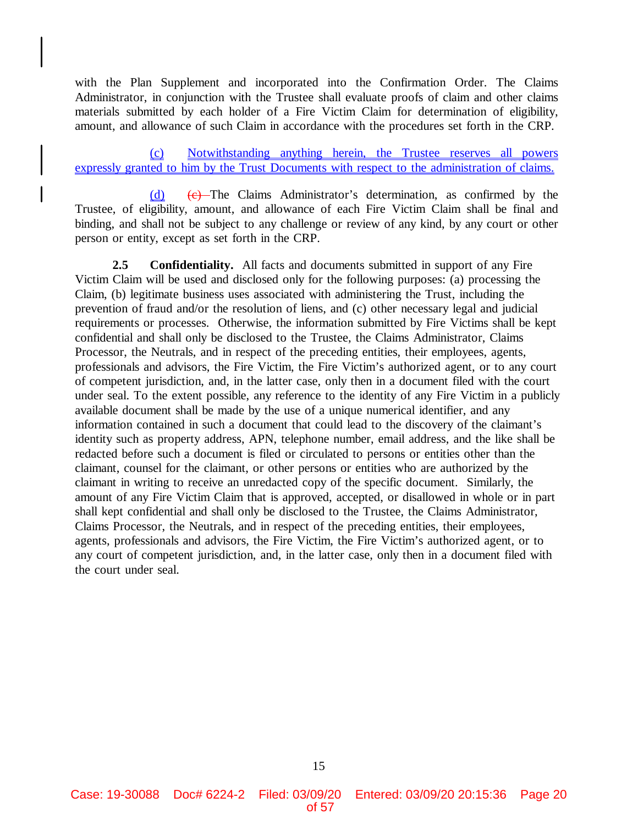with the Plan Supplement and incorporated into the Confirmation Order. The Claims Administrator, in conjunction with the Trustee shall evaluate proofs of claim and other claims materials submitted by each holder of a Fire Victim Claim for determination of eligibility, amount, and allowance of such Claim in accordance with the procedures set forth in the CRP.

(c) Notwithstanding anything herein, the Trustee reserves all powers expressly granted to him by the Trust Documents with respect to the administration of claims.

 $(e)$  The Claims Administrator's determination, as confirmed by the Trustee, of eligibility, amount, and allowance of each Fire Victim Claim shall be final and binding, and shall not be subject to any challenge or review of any kind, by any court or other person or entity, except as set forth in the CRP.

**2.5 Confidentiality.** All facts and documents submitted in support of any Fire Victim Claim will be used and disclosed only for the following purposes: (a) processing the Claim, (b) legitimate business uses associated with administering the Trust, including the prevention of fraud and/or the resolution of liens, and (c) other necessary legal and judicial requirements or processes. Otherwise, the information submitted by Fire Victims shall be kept confidential and shall only be disclosed to the Trustee, the Claims Administrator, Claims Processor, the Neutrals, and in respect of the preceding entities, their employees, agents, professionals and advisors, the Fire Victim, the Fire Victim's authorized agent, or to any court of competent jurisdiction, and, in the latter case, only then in a document filed with the court under seal. To the extent possible, any reference to the identity of any Fire Victim in a publicly available document shall be made by the use of a unique numerical identifier, and any information contained in such a document that could lead to the discovery of the claimant's identity such as property address, APN, telephone number, email address, and the like shall be redacted before such a document is filed or circulated to persons or entities other than the claimant, counsel for the claimant, or other persons or entities who are authorized by the claimant in writing to receive an unredacted copy of the specific document. Similarly, the amount of any Fire Victim Claim that is approved, accepted, or disallowed in whole or in part shall kept confidential and shall only be disclosed to the Trustee, the Claims Administrator, Claims Processor, the Neutrals, and in respect of the preceding entities, their employees, agents, professionals and advisors, the Fire Victim, the Fire Victim's authorized agent, or to any court of competent jurisdiction, and, in the latter case, only then in a document filed with the court under seal.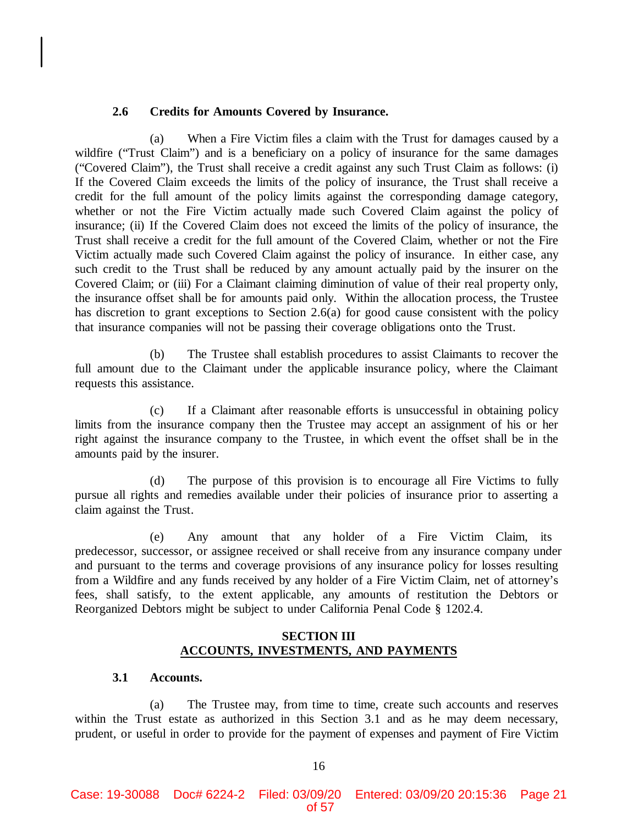#### **2.6 Credits for Amounts Covered by Insurance.**

(a) When a Fire Victim files a claim with the Trust for damages caused by a wildfire ("Trust Claim") and is a beneficiary on a policy of insurance for the same damages ("Covered Claim"), the Trust shall receive a credit against any such Trust Claim as follows: (i) If the Covered Claim exceeds the limits of the policy of insurance, the Trust shall receive a credit for the full amount of the policy limits against the corresponding damage category, whether or not the Fire Victim actually made such Covered Claim against the policy of insurance; (ii) If the Covered Claim does not exceed the limits of the policy of insurance, the Trust shall receive a credit for the full amount of the Covered Claim, whether or not the Fire Victim actually made such Covered Claim against the policy of insurance. In either case, any such credit to the Trust shall be reduced by any amount actually paid by the insurer on the Covered Claim; or (iii) For a Claimant claiming diminution of value of their real property only, the insurance offset shall be for amounts paid only. Within the allocation process, the Trustee has discretion to grant exceptions to Section 2.6(a) for good cause consistent with the policy that insurance companies will not be passing their coverage obligations onto the Trust.

(b) The Trustee shall establish procedures to assist Claimants to recover the full amount due to the Claimant under the applicable insurance policy, where the Claimant requests this assistance.

(c) If a Claimant after reasonable efforts is unsuccessful in obtaining policy limits from the insurance company then the Trustee may accept an assignment of his or her right against the insurance company to the Trustee, in which event the offset shall be in the amounts paid by the insurer.

(d) The purpose of this provision is to encourage all Fire Victims to fully pursue all rights and remedies available under their policies of insurance prior to asserting a claim against the Trust.

(e) Any amount that any holder of a Fire Victim Claim, its predecessor, successor, or assignee received or shall receive from any insurance company under and pursuant to the terms and coverage provisions of any insurance policy for losses resulting from a Wildfire and any funds received by any holder of a Fire Victim Claim, net of attorney's fees, shall satisfy, to the extent applicable, any amounts of restitution the Debtors or Reorganized Debtors might be subject to under California Penal Code § 1202.4.

## **SECTION III ACCOUNTS, INVESTMENTS, AND PAYMENTS**

### **3.1 Accounts.**

(a) The Trustee may, from time to time, create such accounts and reserves within the Trust estate as authorized in this Section 3.1 and as he may deem necessary, prudent, or useful in order to provide for the payment of expenses and payment of Fire Victim

Case: 19-30088 Doc# 6224-2 Filed: 03/09/20 Entered: 03/09/20 20:15:36 Page 21 of 57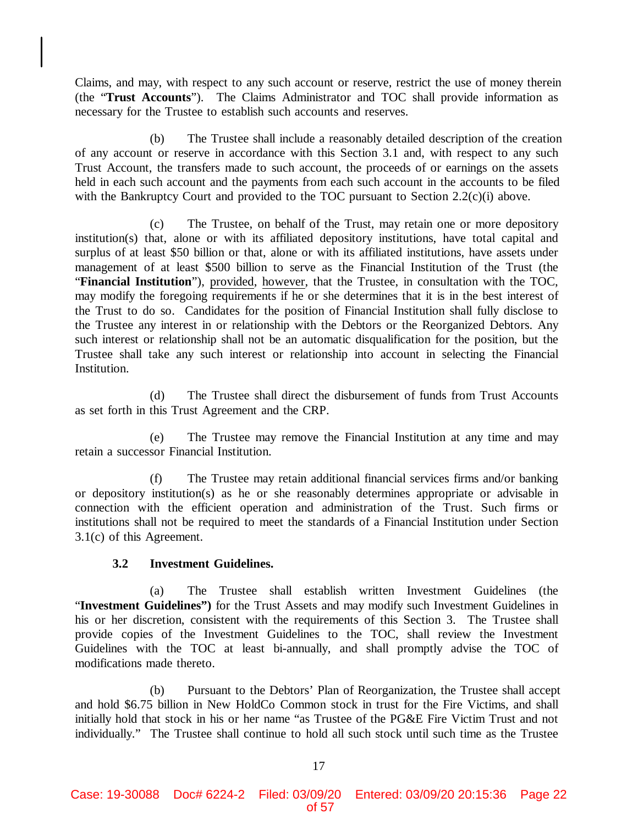Claims, and may, with respect to any such account or reserve, restrict the use of money therein (the "**Trust Accounts**"). The Claims Administrator and TOC shall provide information as necessary for the Trustee to establish such accounts and reserves.

(b) The Trustee shall include a reasonably detailed description of the creation of any account or reserve in accordance with this Section 3.1 and, with respect to any such Trust Account, the transfers made to such account, the proceeds of or earnings on the assets held in each such account and the payments from each such account in the accounts to be filed with the Bankruptcy Court and provided to the TOC pursuant to Section 2.2(c)(i) above.

(c) The Trustee, on behalf of the Trust, may retain one or more depository institution(s) that, alone or with its affiliated depository institutions, have total capital and surplus of at least \$50 billion or that, alone or with its affiliated institutions, have assets under management of at least \$500 billion to serve as the Financial Institution of the Trust (the "**Financial Institution**"), provided, however, that the Trustee, in consultation with the TOC, may modify the foregoing requirements if he or she determines that it is in the best interest of the Trust to do so. Candidates for the position of Financial Institution shall fully disclose to the Trustee any interest in or relationship with the Debtors or the Reorganized Debtors. Any such interest or relationship shall not be an automatic disqualification for the position, but the Trustee shall take any such interest or relationship into account in selecting the Financial Institution.

(d) The Trustee shall direct the disbursement of funds from Trust Accounts as set forth in this Trust Agreement and the CRP.

(e) The Trustee may remove the Financial Institution at any time and may retain a successor Financial Institution.

The Trustee may retain additional financial services firms and/or banking or depository institution(s) as he or she reasonably determines appropriate or advisable in connection with the efficient operation and administration of the Trust. Such firms or institutions shall not be required to meet the standards of a Financial Institution under Section 3.1(c) of this Agreement.

### **3.2 Investment Guidelines.**

(a) The Trustee shall establish written Investment Guidelines (the "**Investment Guidelines")** for the Trust Assets and may modify such Investment Guidelines in his or her discretion, consistent with the requirements of this Section 3. The Trustee shall provide copies of the Investment Guidelines to the TOC, shall review the Investment Guidelines with the TOC at least bi-annually, and shall promptly advise the TOC of modifications made thereto.

(b) Pursuant to the Debtors' Plan of Reorganization, the Trustee shall accept and hold \$6.75 billion in New HoldCo Common stock in trust for the Fire Victims, and shall initially hold that stock in his or her name "as Trustee of the PG&E Fire Victim Trust and not individually." The Trustee shall continue to hold all such stock until such time as the Trustee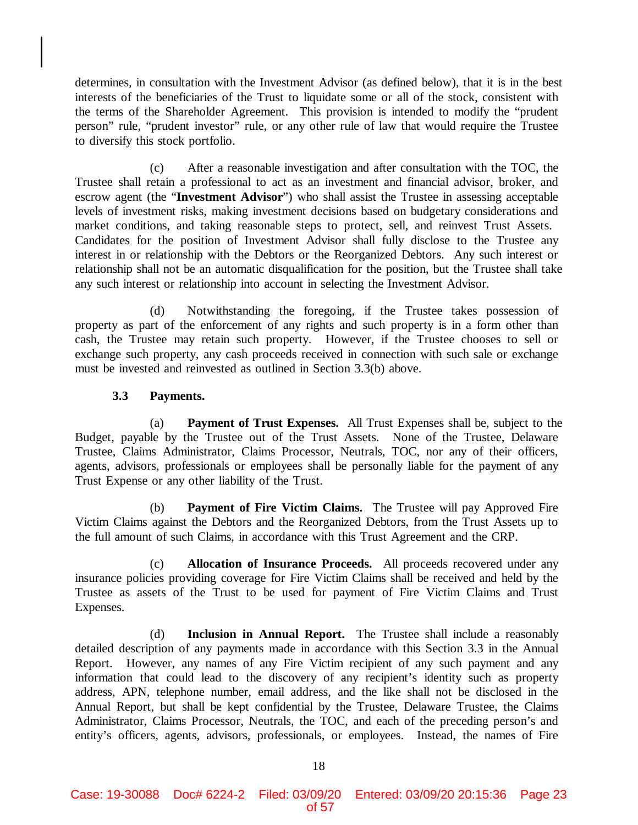determines, in consultation with the Investment Advisor (as defined below), that it is in the best interests of the beneficiaries of the Trust to liquidate some or all of the stock, consistent with the terms of the Shareholder Agreement. This provision is intended to modify the "prudent person" rule, "prudent investor" rule, or any other rule of law that would require the Trustee to diversify this stock portfolio.

(c) After a reasonable investigation and after consultation with the TOC, the Trustee shall retain a professional to act as an investment and financial advisor, broker, and escrow agent (the "**Investment Advisor**") who shall assist the Trustee in assessing acceptable levels of investment risks, making investment decisions based on budgetary considerations and market conditions, and taking reasonable steps to protect, sell, and reinvest Trust Assets. Candidates for the position of Investment Advisor shall fully disclose to the Trustee any interest in or relationship with the Debtors or the Reorganized Debtors. Any such interest or relationship shall not be an automatic disqualification for the position, but the Trustee shall take any such interest or relationship into account in selecting the Investment Advisor.

(d) Notwithstanding the foregoing, if the Trustee takes possession of property as part of the enforcement of any rights and such property is in a form other than cash, the Trustee may retain such property. However, if the Trustee chooses to sell or exchange such property, any cash proceeds received in connection with such sale or exchange must be invested and reinvested as outlined in Section 3.3(b) above.

### **3.3 Payments.**

(a) **Payment of Trust Expenses.** All Trust Expenses shall be, subject to the Budget, payable by the Trustee out of the Trust Assets. None of the Trustee, Delaware Trustee, Claims Administrator, Claims Processor, Neutrals, TOC, nor any of their officers, agents, advisors, professionals or employees shall be personally liable for the payment of any Trust Expense or any other liability of the Trust.

(b) **Payment of Fire Victim Claims.** The Trustee will pay Approved Fire Victim Claims against the Debtors and the Reorganized Debtors, from the Trust Assets up to the full amount of such Claims, in accordance with this Trust Agreement and the CRP.

(c) **Allocation of Insurance Proceeds.** All proceeds recovered under any insurance policies providing coverage for Fire Victim Claims shall be received and held by the Trustee as assets of the Trust to be used for payment of Fire Victim Claims and Trust Expenses.

(d) **Inclusion in Annual Report.** The Trustee shall include a reasonably detailed description of any payments made in accordance with this Section 3.3 in the Annual Report. However, any names of any Fire Victim recipient of any such payment and any information that could lead to the discovery of any recipient's identity such as property address, APN, telephone number, email address, and the like shall not be disclosed in the Annual Report, but shall be kept confidential by the Trustee, Delaware Trustee, the Claims Administrator, Claims Processor, Neutrals, the TOC, and each of the preceding person's and entity's officers, agents, advisors, professionals, or employees. Instead, the names of Fire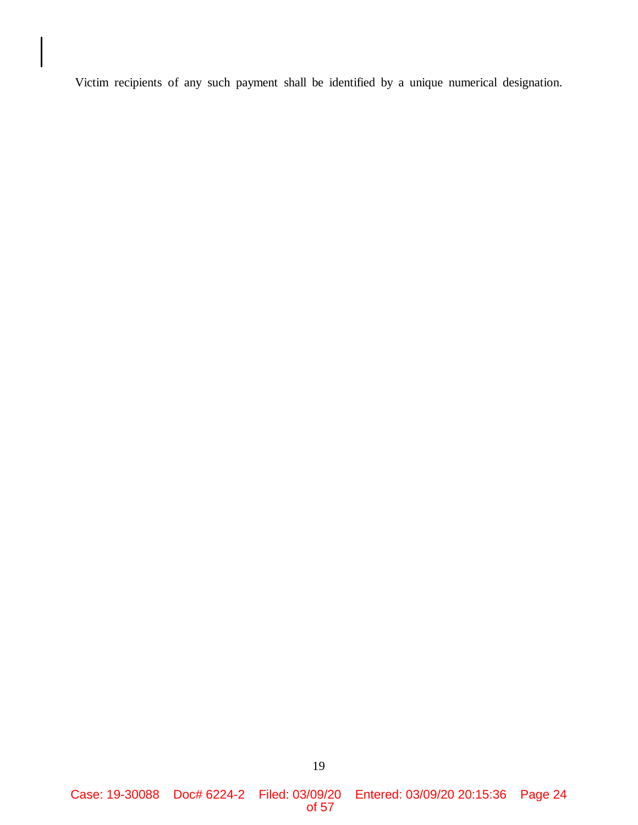Victim recipients of any such payment shall be identified by a unique numerical designation.

 $\overline{\phantom{a}}$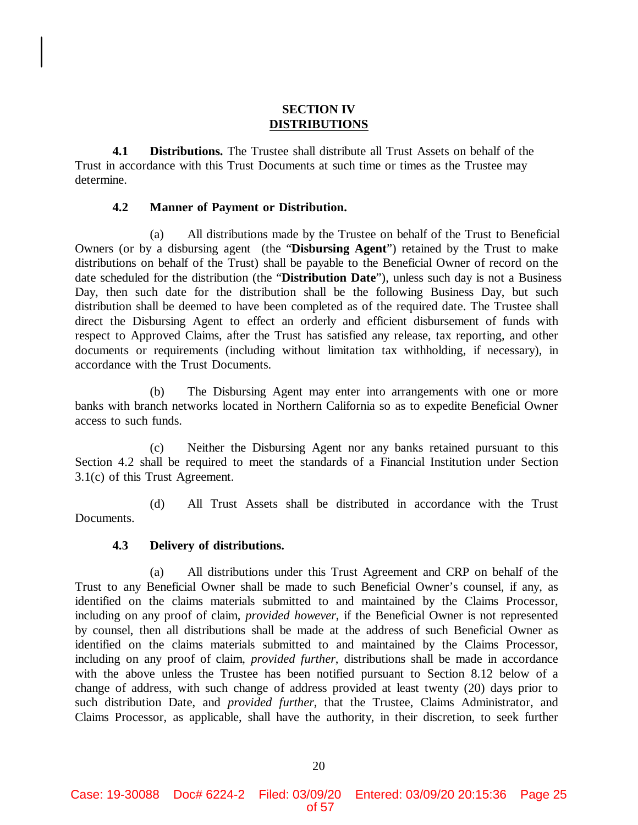### **SECTION IV DISTRIBUTIONS**

**4.1 Distributions.** The Trustee shall distribute all Trust Assets on behalf of the Trust in accordance with this Trust Documents at such time or times as the Trustee may determine.

### **4.2 Manner of Payment or Distribution.**

(a) All distributions made by the Trustee on behalf of the Trust to Beneficial Owners (or by a disbursing agent (the "**Disbursing Agent**") retained by the Trust to make distributions on behalf of the Trust) shall be payable to the Beneficial Owner of record on the date scheduled for the distribution (the "**Distribution Date**"), unless such day is not a Business Day, then such date for the distribution shall be the following Business Day, but such distribution shall be deemed to have been completed as of the required date. The Trustee shall direct the Disbursing Agent to effect an orderly and efficient disbursement of funds with respect to Approved Claims, after the Trust has satisfied any release, tax reporting, and other documents or requirements (including without limitation tax withholding, if necessary), in accordance with the Trust Documents.

(b) The Disbursing Agent may enter into arrangements with one or more banks with branch networks located in Northern California so as to expedite Beneficial Owner access to such funds.

(c) Neither the Disbursing Agent nor any banks retained pursuant to this Section 4.2 shall be required to meet the standards of a Financial Institution under Section 3.1(c) of this Trust Agreement.

(d) All Trust Assets shall be distributed in accordance with the Trust Documents.

### **4.3 Delivery of distributions.**

(a) All distributions under this Trust Agreement and CRP on behalf of the Trust to any Beneficial Owner shall be made to such Beneficial Owner's counsel, if any, as identified on the claims materials submitted to and maintained by the Claims Processor, including on any proof of claim, *provided however*, if the Beneficial Owner is not represented by counsel, then all distributions shall be made at the address of such Beneficial Owner as identified on the claims materials submitted to and maintained by the Claims Processor, including on any proof of claim, *provided further*, distributions shall be made in accordance with the above unless the Trustee has been notified pursuant to Section 8.12 below of a change of address, with such change of address provided at least twenty (20) days prior to such distribution Date, and *provided further*, that the Trustee, Claims Administrator, and Claims Processor, as applicable, shall have the authority, in their discretion, to seek further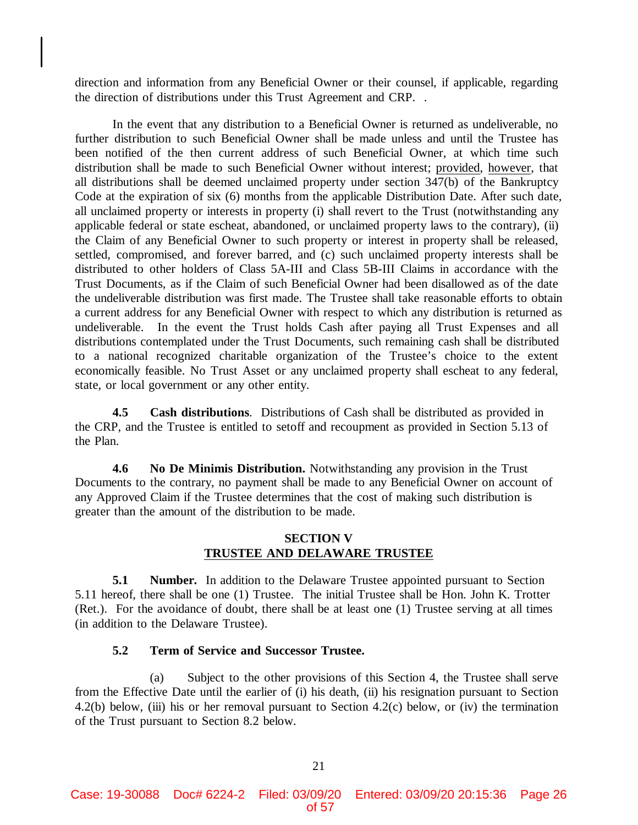direction and information from any Beneficial Owner or their counsel, if applicable, regarding the direction of distributions under this Trust Agreement and CRP. .

In the event that any distribution to a Beneficial Owner is returned as undeliverable, no further distribution to such Beneficial Owner shall be made unless and until the Trustee has been notified of the then current address of such Beneficial Owner, at which time such distribution shall be made to such Beneficial Owner without interest; provided, however, that all distributions shall be deemed unclaimed property under section 347(b) of the Bankruptcy Code at the expiration of six (6) months from the applicable Distribution Date. After such date, all unclaimed property or interests in property (i) shall revert to the Trust (notwithstanding any applicable federal or state escheat, abandoned, or unclaimed property laws to the contrary), (ii) the Claim of any Beneficial Owner to such property or interest in property shall be released, settled, compromised, and forever barred, and (c) such unclaimed property interests shall be distributed to other holders of Class 5A-III and Class 5B-III Claims in accordance with the Trust Documents, as if the Claim of such Beneficial Owner had been disallowed as of the date the undeliverable distribution was first made. The Trustee shall take reasonable efforts to obtain a current address for any Beneficial Owner with respect to which any distribution is returned as undeliverable. In the event the Trust holds Cash after paying all Trust Expenses and all distributions contemplated under the Trust Documents, such remaining cash shall be distributed to a national recognized charitable organization of the Trustee's choice to the extent economically feasible. No Trust Asset or any unclaimed property shall escheat to any federal, state, or local government or any other entity.

**4.5 Cash distributions**. Distributions of Cash shall be distributed as provided in the CRP, and the Trustee is entitled to setoff and recoupment as provided in Section 5.13 of the Plan.

**4.6 No De Minimis Distribution.** Notwithstanding any provision in the Trust Documents to the contrary, no payment shall be made to any Beneficial Owner on account of any Approved Claim if the Trustee determines that the cost of making such distribution is greater than the amount of the distribution to be made.

## **SECTION V TRUSTEE AND DELAWARE TRUSTEE**

**5.1 Number.** In addition to the Delaware Trustee appointed pursuant to Section 5.11 hereof, there shall be one (1) Trustee. The initial Trustee shall be Hon. John K. Trotter (Ret.). For the avoidance of doubt, there shall be at least one (1) Trustee serving at all times (in addition to the Delaware Trustee).

### **5.2 Term of Service and Successor Trustee.**

(a) Subject to the other provisions of this Section 4, the Trustee shall serve from the Effective Date until the earlier of (i) his death, (ii) his resignation pursuant to Section 4.2(b) below, (iii) his or her removal pursuant to Section 4.2(c) below, or (iv) the termination of the Trust pursuant to Section 8.2 below.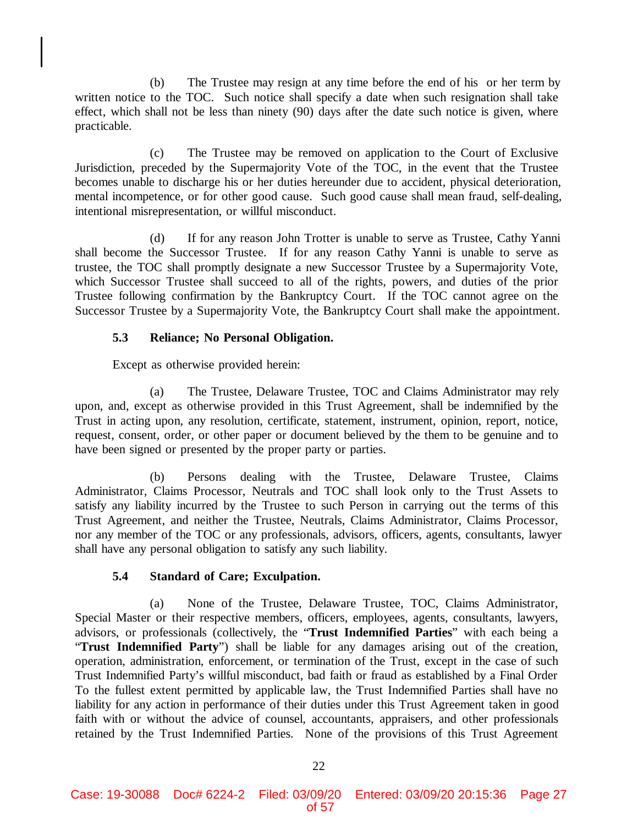(b) The Trustee may resign at any time before the end of his or her term by written notice to the TOC. Such notice shall specify a date when such resignation shall take effect, which shall not be less than ninety (90) days after the date such notice is given, where practicable.

(c) The Trustee may be removed on application to the Court of Exclusive Jurisdiction, preceded by the Supermajority Vote of the TOC, in the event that the Trustee becomes unable to discharge his or her duties hereunder due to accident, physical deterioration, mental incompetence, or for other good cause. Such good cause shall mean fraud, self-dealing, intentional misrepresentation, or willful misconduct.

(d) If for any reason John Trotter is unable to serve as Trustee, Cathy Yanni shall become the Successor Trustee. If for any reason Cathy Yanni is unable to serve as trustee, the TOC shall promptly designate a new Successor Trustee by a Supermajority Vote, which Successor Trustee shall succeed to all of the rights, powers, and duties of the prior Trustee following confirmation by the Bankruptcy Court. If the TOC cannot agree on the Successor Trustee by a Supermajority Vote, the Bankruptcy Court shall make the appointment.

#### **5.3 Reliance; No Personal Obligation.**

Except as otherwise provided herein:

(a) The Trustee, Delaware Trustee, TOC and Claims Administrator may rely upon, and, except as otherwise provided in this Trust Agreement, shall be indemnified by the Trust in acting upon, any resolution, certificate, statement, instrument, opinion, report, notice, request, consent, order, or other paper or document believed by the them to be genuine and to have been signed or presented by the proper party or parties.

(b) Persons dealing with the Trustee, Delaware Trustee, Claims Administrator, Claims Processor, Neutrals and TOC shall look only to the Trust Assets to satisfy any liability incurred by the Trustee to such Person in carrying out the terms of this Trust Agreement, and neither the Trustee, Neutrals, Claims Administrator, Claims Processor, nor any member of the TOC or any professionals, advisors, officers, agents, consultants, lawyer shall have any personal obligation to satisfy any such liability.

#### **5.4 Standard of Care; Exculpation.**

(a) None of the Trustee, Delaware Trustee, TOC, Claims Administrator, Special Master or their respective members, officers, employees, agents, consultants, lawyers, advisors, or professionals (collectively, the "**Trust Indemnified Parties**" with each being a "**Trust Indemnified Party**") shall be liable for any damages arising out of the creation, operation, administration, enforcement, or termination of the Trust, except in the case of such Trust Indemnified Party's willful misconduct, bad faith or fraud as established by a Final Order To the fullest extent permitted by applicable law, the Trust Indemnified Parties shall have no liability for any action in performance of their duties under this Trust Agreement taken in good faith with or without the advice of counsel, accountants, appraisers, and other professionals retained by the Trust Indemnified Parties. None of the provisions of this Trust Agreement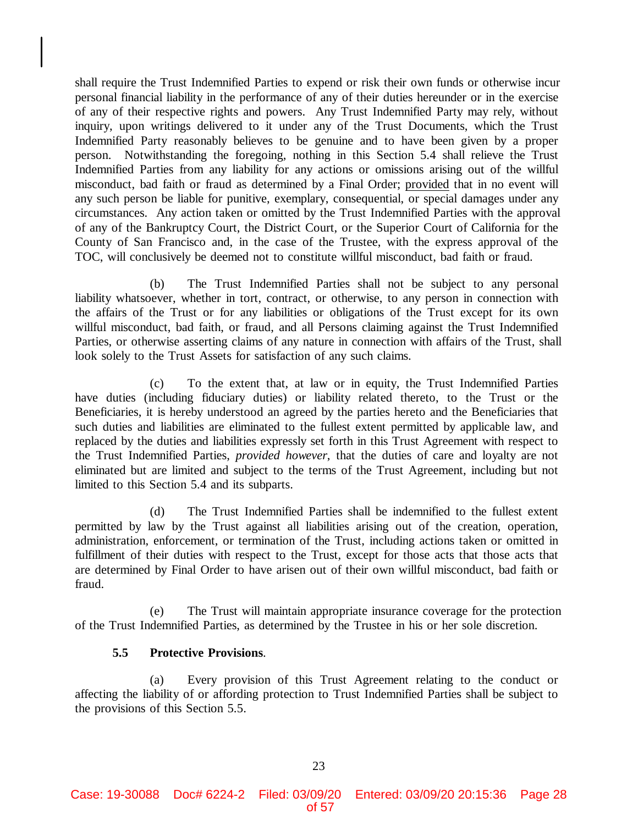shall require the Trust Indemnified Parties to expend or risk their own funds or otherwise incur personal financial liability in the performance of any of their duties hereunder or in the exercise of any of their respective rights and powers. Any Trust Indemnified Party may rely, without inquiry, upon writings delivered to it under any of the Trust Documents, which the Trust Indemnified Party reasonably believes to be genuine and to have been given by a proper person. Notwithstanding the foregoing, nothing in this Section 5.4 shall relieve the Trust Indemnified Parties from any liability for any actions or omissions arising out of the willful misconduct, bad faith or fraud as determined by a Final Order; provided that in no event will any such person be liable for punitive, exemplary, consequential, or special damages under any circumstances. Any action taken or omitted by the Trust Indemnified Parties with the approval of any of the Bankruptcy Court, the District Court, or the Superior Court of California for the County of San Francisco and, in the case of the Trustee, with the express approval of the TOC, will conclusively be deemed not to constitute willful misconduct, bad faith or fraud.

(b) The Trust Indemnified Parties shall not be subject to any personal liability whatsoever, whether in tort, contract, or otherwise, to any person in connection with the affairs of the Trust or for any liabilities or obligations of the Trust except for its own willful misconduct, bad faith, or fraud, and all Persons claiming against the Trust Indemnified Parties, or otherwise asserting claims of any nature in connection with affairs of the Trust, shall look solely to the Trust Assets for satisfaction of any such claims.

(c) To the extent that, at law or in equity, the Trust Indemnified Parties have duties (including fiduciary duties) or liability related thereto, to the Trust or the Beneficiaries, it is hereby understood an agreed by the parties hereto and the Beneficiaries that such duties and liabilities are eliminated to the fullest extent permitted by applicable law, and replaced by the duties and liabilities expressly set forth in this Trust Agreement with respect to the Trust Indemnified Parties, *provided however*, that the duties of care and loyalty are not eliminated but are limited and subject to the terms of the Trust Agreement, including but not limited to this Section 5.4 and its subparts.

(d) The Trust Indemnified Parties shall be indemnified to the fullest extent permitted by law by the Trust against all liabilities arising out of the creation, operation, administration, enforcement, or termination of the Trust, including actions taken or omitted in fulfillment of their duties with respect to the Trust, except for those acts that those acts that are determined by Final Order to have arisen out of their own willful misconduct, bad faith or fraud.

(e) The Trust will maintain appropriate insurance coverage for the protection of the Trust Indemnified Parties, as determined by the Trustee in his or her sole discretion.

## **5.5 Protective Provisions**.

(a) Every provision of this Trust Agreement relating to the conduct or affecting the liability of or affording protection to Trust Indemnified Parties shall be subject to the provisions of this Section 5.5.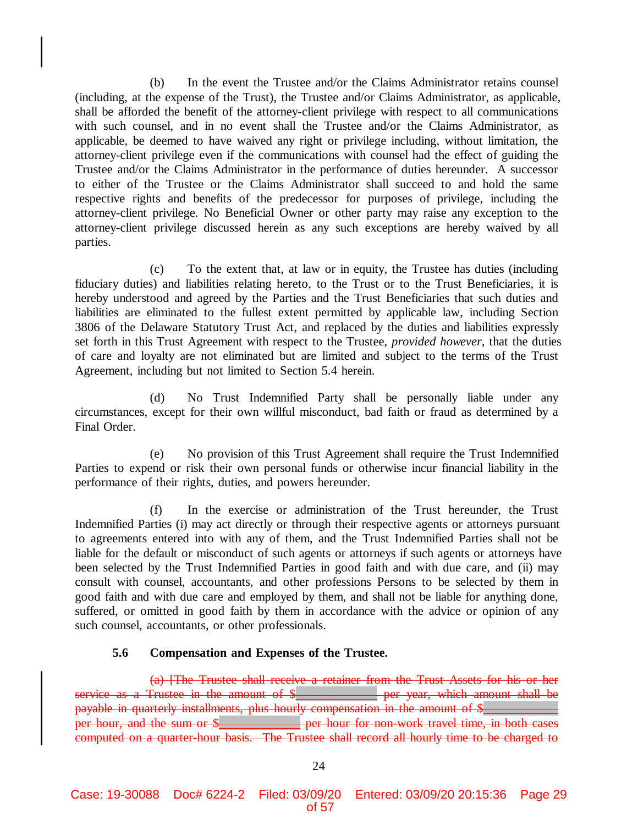(b) In the event the Trustee and/or the Claims Administrator retains counsel (including, at the expense of the Trust), the Trustee and/or Claims Administrator, as applicable, shall be afforded the benefit of the attorney-client privilege with respect to all communications with such counsel, and in no event shall the Trustee and/or the Claims Administrator, as applicable, be deemed to have waived any right or privilege including, without limitation, the attorney-client privilege even if the communications with counsel had the effect of guiding the Trustee and/or the Claims Administrator in the performance of duties hereunder. A successor to either of the Trustee or the Claims Administrator shall succeed to and hold the same respective rights and benefits of the predecessor for purposes of privilege, including the attorney-client privilege. No Beneficial Owner or other party may raise any exception to the attorney-client privilege discussed herein as any such exceptions are hereby waived by all parties.

(c) To the extent that, at law or in equity, the Trustee has duties (including fiduciary duties) and liabilities relating hereto, to the Trust or to the Trust Beneficiaries, it is hereby understood and agreed by the Parties and the Trust Beneficiaries that such duties and liabilities are eliminated to the fullest extent permitted by applicable law, including Section 3806 of the Delaware Statutory Trust Act, and replaced by the duties and liabilities expressly set forth in this Trust Agreement with respect to the Trustee, *provided however*, that the duties of care and loyalty are not eliminated but are limited and subject to the terms of the Trust Agreement, including but not limited to Section 5.4 herein.

(d) No Trust Indemnified Party shall be personally liable under any circumstances, except for their own willful misconduct, bad faith or fraud as determined by a Final Order.

(e) No provision of this Trust Agreement shall require the Trust Indemnified Parties to expend or risk their own personal funds or otherwise incur financial liability in the performance of their rights, duties, and powers hereunder.

(f) In the exercise or administration of the Trust hereunder, the Trust Indemnified Parties (i) may act directly or through their respective agents or attorneys pursuant to agreements entered into with any of them, and the Trust Indemnified Parties shall not be liable for the default or misconduct of such agents or attorneys if such agents or attorneys have been selected by the Trust Indemnified Parties in good faith and with due care, and (ii) may consult with counsel, accountants, and other professions Persons to be selected by them in good faith and with due care and employed by them, and shall not be liable for anything done, suffered, or omitted in good faith by them in accordance with the advice or opinion of any such counsel, accountants, or other professionals.

### **5.6 Compensation and Expenses of the Trustee.**

(a) [The Trustee shall receive a retainer from the Trust Assets for his or her service as a Trustee in the amount of \$\_\_\_\_\_\_\_\_\_\_\_\_\_\_ per year, which amount shall be payable in quarterly installments, plus hourly compensation in the amount of \$ per hour, and the sum or \$\_\_\_\_\_\_\_\_\_\_\_\_\_\_\_ per hour for non-work travel time, in both cases computed on a quarter-hour basis. The Trustee shall record all hourly time to be charged to

Case: 19-30088 Doc# 6224-2 Filed: 03/09/20 Entered: 03/09/20 20:15:36 Page 29 of 57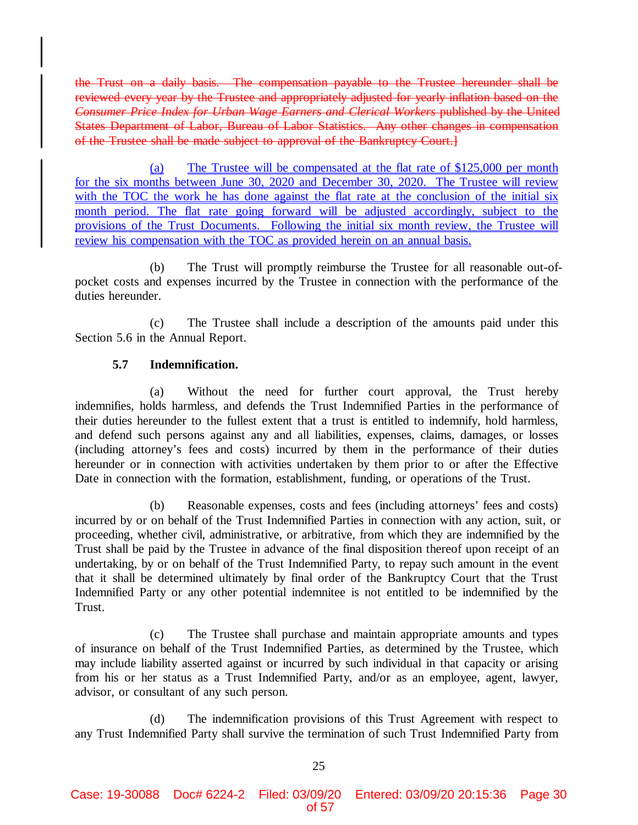the Trust on a daily basis. The compensation payable to the Trustee hereunder shall be reviewed every year by the Trustee and appropriately adjusted for yearly inflation based on the *Consumer Price Index for Urban Wage Earners and Clerical Workers* published by the United States Department of Labor, Bureau of Labor Statistics. Any other changes in compensation of the Trustee shall be made subject to approval of the Bankruptcy Court.]

(a) The Trustee will be compensated at the flat rate of \$125,000 per month for the six months between June 30, 2020 and December 30, 2020. The Trustee will review with the TOC the work he has done against the flat rate at the conclusion of the initial six month period. The flat rate going forward will be adjusted accordingly, subject to the provisions of the Trust Documents. Following the initial six month review, the Trustee will review his compensation with the TOC as provided herein on an annual basis.

(b) The Trust will promptly reimburse the Trustee for all reasonable out-ofpocket costs and expenses incurred by the Trustee in connection with the performance of the duties hereunder.

(c) The Trustee shall include a description of the amounts paid under this Section 5.6 in the Annual Report.

## **5.7 Indemnification.**

(a) Without the need for further court approval, the Trust hereby indemnifies, holds harmless, and defends the Trust Indemnified Parties in the performance of their duties hereunder to the fullest extent that a trust is entitled to indemnify, hold harmless, and defend such persons against any and all liabilities, expenses, claims, damages, or losses (including attorney's fees and costs) incurred by them in the performance of their duties hereunder or in connection with activities undertaken by them prior to or after the Effective Date in connection with the formation, establishment, funding, or operations of the Trust.

(b) Reasonable expenses, costs and fees (including attorneys' fees and costs) incurred by or on behalf of the Trust Indemnified Parties in connection with any action, suit, or proceeding, whether civil, administrative, or arbitrative, from which they are indemnified by the Trust shall be paid by the Trustee in advance of the final disposition thereof upon receipt of an undertaking, by or on behalf of the Trust Indemnified Party, to repay such amount in the event that it shall be determined ultimately by final order of the Bankruptcy Court that the Trust Indemnified Party or any other potential indemnitee is not entitled to be indemnified by the Trust.

(c) The Trustee shall purchase and maintain appropriate amounts and types of insurance on behalf of the Trust Indemnified Parties, as determined by the Trustee, which may include liability asserted against or incurred by such individual in that capacity or arising from his or her status as a Trust Indemnified Party, and/or as an employee, agent, lawyer, advisor, or consultant of any such person.

(d) The indemnification provisions of this Trust Agreement with respect to any Trust Indemnified Party shall survive the termination of such Trust Indemnified Party from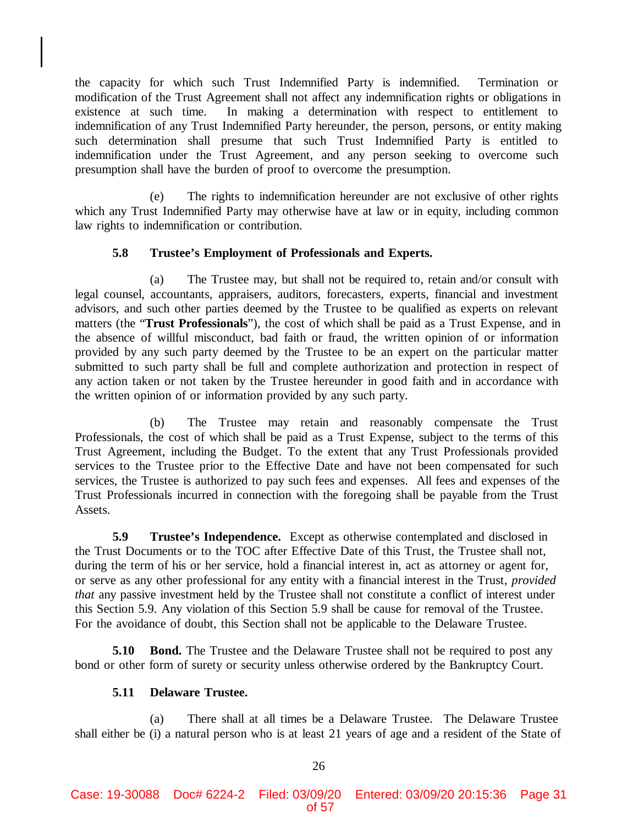the capacity for which such Trust Indemnified Party is indemnified. Termination or modification of the Trust Agreement shall not affect any indemnification rights or obligations in existence at such time. In making a determination with respect to entitlement to indemnification of any Trust Indemnified Party hereunder, the person, persons, or entity making such determination shall presume that such Trust Indemnified Party is entitled to indemnification under the Trust Agreement, and any person seeking to overcome such presumption shall have the burden of proof to overcome the presumption.

(e) The rights to indemnification hereunder are not exclusive of other rights which any Trust Indemnified Party may otherwise have at law or in equity, including common law rights to indemnification or contribution.

### **5.8 Trustee's Employment of Professionals and Experts.**

(a) The Trustee may, but shall not be required to, retain and/or consult with legal counsel, accountants, appraisers, auditors, forecasters, experts, financial and investment advisors, and such other parties deemed by the Trustee to be qualified as experts on relevant matters (the "**Trust Professionals**"), the cost of which shall be paid as a Trust Expense, and in the absence of willful misconduct, bad faith or fraud, the written opinion of or information provided by any such party deemed by the Trustee to be an expert on the particular matter submitted to such party shall be full and complete authorization and protection in respect of any action taken or not taken by the Trustee hereunder in good faith and in accordance with the written opinion of or information provided by any such party.

(b) The Trustee may retain and reasonably compensate the Trust Professionals, the cost of which shall be paid as a Trust Expense, subject to the terms of this Trust Agreement, including the Budget. To the extent that any Trust Professionals provided services to the Trustee prior to the Effective Date and have not been compensated for such services, the Trustee is authorized to pay such fees and expenses. All fees and expenses of the Trust Professionals incurred in connection with the foregoing shall be payable from the Trust Assets.

**5.9 Trustee's Independence.** Except as otherwise contemplated and disclosed in the Trust Documents or to the TOC after Effective Date of this Trust, the Trustee shall not, during the term of his or her service, hold a financial interest in, act as attorney or agent for, or serve as any other professional for any entity with a financial interest in the Trust, *provided that* any passive investment held by the Trustee shall not constitute a conflict of interest under this Section 5.9. Any violation of this Section 5.9 shall be cause for removal of the Trustee. For the avoidance of doubt, this Section shall not be applicable to the Delaware Trustee.

**5.10 Bond.** The Trustee and the Delaware Trustee shall not be required to post any bond or other form of surety or security unless otherwise ordered by the Bankruptcy Court.

### **5.11 Delaware Trustee.**

(a) There shall at all times be a Delaware Trustee. The Delaware Trustee shall either be (i) a natural person who is at least 21 years of age and a resident of the State of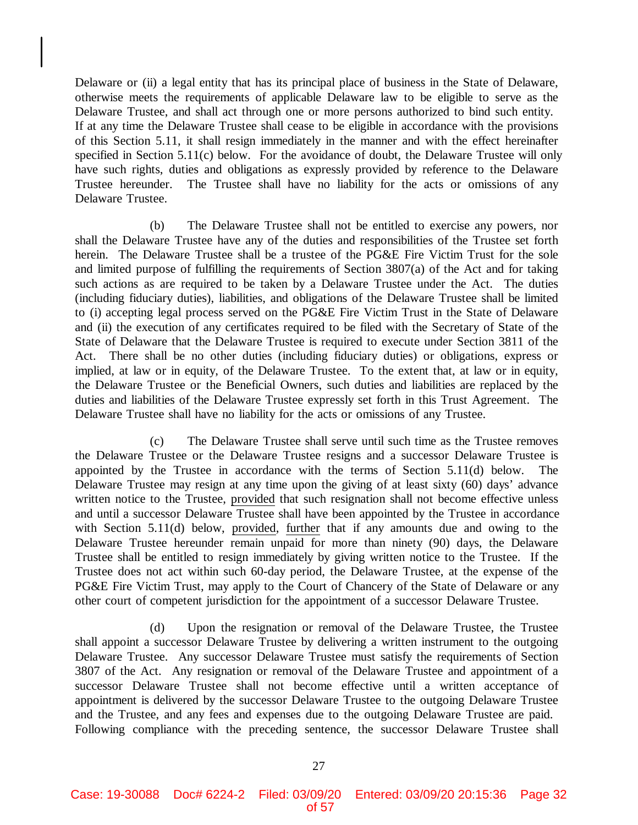Delaware or (ii) a legal entity that has its principal place of business in the State of Delaware, otherwise meets the requirements of applicable Delaware law to be eligible to serve as the Delaware Trustee, and shall act through one or more persons authorized to bind such entity. If at any time the Delaware Trustee shall cease to be eligible in accordance with the provisions of this Section 5.11, it shall resign immediately in the manner and with the effect hereinafter specified in Section 5.11(c) below. For the avoidance of doubt, the Delaware Trustee will only have such rights, duties and obligations as expressly provided by reference to the Delaware Trustee hereunder. The Trustee shall have no liability for the acts or omissions of any Delaware Trustee.

(b) The Delaware Trustee shall not be entitled to exercise any powers, nor shall the Delaware Trustee have any of the duties and responsibilities of the Trustee set forth herein. The Delaware Trustee shall be a trustee of the PG&E Fire Victim Trust for the sole and limited purpose of fulfilling the requirements of Section 3807(a) of the Act and for taking such actions as are required to be taken by a Delaware Trustee under the Act. The duties (including fiduciary duties), liabilities, and obligations of the Delaware Trustee shall be limited to (i) accepting legal process served on the PG&E Fire Victim Trust in the State of Delaware and (ii) the execution of any certificates required to be filed with the Secretary of State of the State of Delaware that the Delaware Trustee is required to execute under Section 3811 of the Act. There shall be no other duties (including fiduciary duties) or obligations, express or implied, at law or in equity, of the Delaware Trustee. To the extent that, at law or in equity, the Delaware Trustee or the Beneficial Owners, such duties and liabilities are replaced by the duties and liabilities of the Delaware Trustee expressly set forth in this Trust Agreement. The Delaware Trustee shall have no liability for the acts or omissions of any Trustee.

(c) The Delaware Trustee shall serve until such time as the Trustee removes the Delaware Trustee or the Delaware Trustee resigns and a successor Delaware Trustee is appointed by the Trustee in accordance with the terms of Section 5.11(d) below. The Delaware Trustee may resign at any time upon the giving of at least sixty (60) days' advance written notice to the Trustee, provided that such resignation shall not become effective unless and until a successor Delaware Trustee shall have been appointed by the Trustee in accordance with Section 5.11(d) below, provided, further that if any amounts due and owing to the Delaware Trustee hereunder remain unpaid for more than ninety (90) days, the Delaware Trustee shall be entitled to resign immediately by giving written notice to the Trustee. If the Trustee does not act within such 60-day period, the Delaware Trustee, at the expense of the PG&E Fire Victim Trust, may apply to the Court of Chancery of the State of Delaware or any other court of competent jurisdiction for the appointment of a successor Delaware Trustee.

(d) Upon the resignation or removal of the Delaware Trustee, the Trustee shall appoint a successor Delaware Trustee by delivering a written instrument to the outgoing Delaware Trustee. Any successor Delaware Trustee must satisfy the requirements of Section 3807 of the Act. Any resignation or removal of the Delaware Trustee and appointment of a successor Delaware Trustee shall not become effective until a written acceptance of appointment is delivered by the successor Delaware Trustee to the outgoing Delaware Trustee and the Trustee, and any fees and expenses due to the outgoing Delaware Trustee are paid. Following compliance with the preceding sentence, the successor Delaware Trustee shall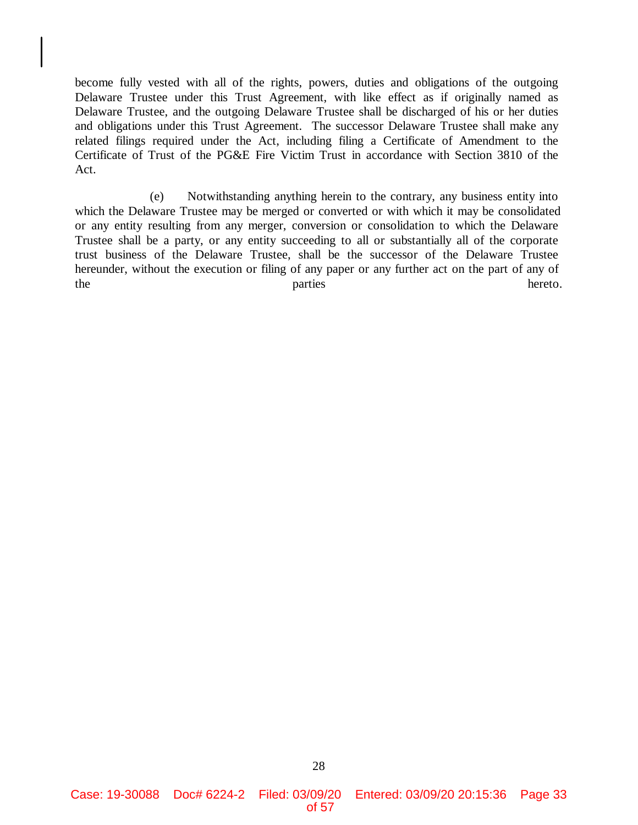become fully vested with all of the rights, powers, duties and obligations of the outgoing Delaware Trustee under this Trust Agreement, with like effect as if originally named as Delaware Trustee, and the outgoing Delaware Trustee shall be discharged of his or her duties and obligations under this Trust Agreement. The successor Delaware Trustee shall make any related filings required under the Act, including filing a Certificate of Amendment to the Certificate of Trust of the PG&E Fire Victim Trust in accordance with Section 3810 of the Act.

(e) Notwithstanding anything herein to the contrary, any business entity into which the Delaware Trustee may be merged or converted or with which it may be consolidated or any entity resulting from any merger, conversion or consolidation to which the Delaware Trustee shall be a party, or any entity succeeding to all or substantially all of the corporate trust business of the Delaware Trustee, shall be the successor of the Delaware Trustee hereunder, without the execution or filing of any paper or any further act on the part of any of the parties hereto.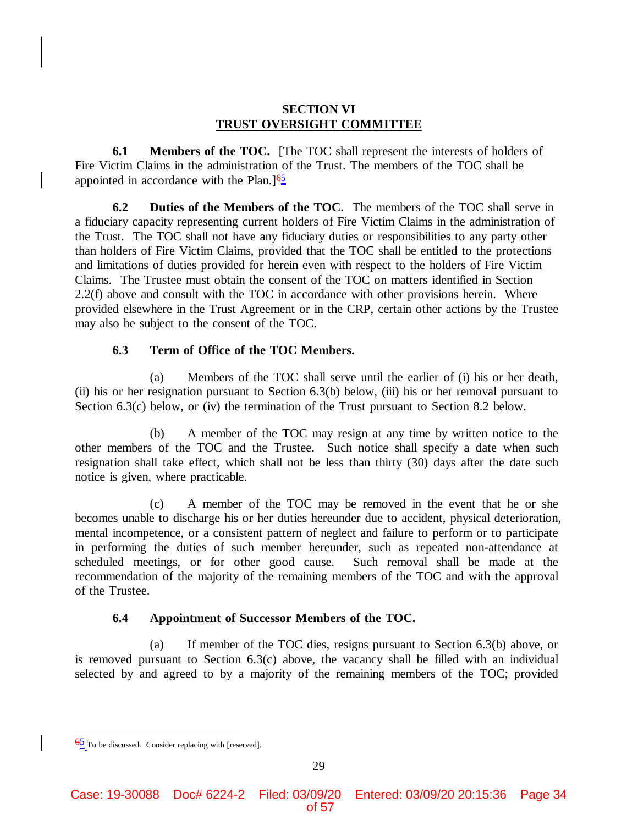## **SECTION VI TRUST OVERSIGHT COMMITTEE**

**6.1 Members of the TOC.** [The TOC shall represent the interests of holders of Fire Victim Claims in the administration of the Trust. The members of the TOC shall be appointed in accordance with the Plan.] $\frac{65}{5}$ 

**6.2 Duties of the Members of the TOC.** The members of the TOC shall serve in a fiduciary capacity representing current holders of Fire Victim Claims in the administration of the Trust. The TOC shall not have any fiduciary duties or responsibilities to any party other than holders of Fire Victim Claims, provided that the TOC shall be entitled to the protections and limitations of duties provided for herein even with respect to the holders of Fire Victim Claims. The Trustee must obtain the consent of the TOC on matters identified in Section 2.2(f) above and consult with the TOC in accordance with other provisions herein. Where provided elsewhere in the Trust Agreement or in the CRP, certain other actions by the Trustee may also be subject to the consent of the TOC.

## **6.3 Term of Office of the TOC Members.**

 $\mathbf l$ 

(a) Members of the TOC shall serve until the earlier of (i) his or her death, (ii) his or her resignation pursuant to Section 6.3(b) below, (iii) his or her removal pursuant to Section 6.3(c) below, or (iv) the termination of the Trust pursuant to Section 8.2 below.

(b) A member of the TOC may resign at any time by written notice to the other members of the TOC and the Trustee. Such notice shall specify a date when such resignation shall take effect, which shall not be less than thirty (30) days after the date such notice is given, where practicable.

(c) A member of the TOC may be removed in the event that he or she becomes unable to discharge his or her duties hereunder due to accident, physical deterioration, mental incompetence, or a consistent pattern of neglect and failure to perform or to participate in performing the duties of such member hereunder, such as repeated non-attendance at scheduled meetings, or for other good cause. Such removal shall be made at the recommendation of the majority of the remaining members of the TOC and with the approval of the Trustee.

### **6.4 Appointment of Successor Members of the TOC.**

(a) If member of the TOC dies, resigns pursuant to Section 6.3(b) above, or is removed pursuant to Section 6.3(c) above, the vacancy shall be filled with an individual selected by and agreed to by a majority of the remaining members of the TOC; provided

 $\frac{65}{2}$  To be discussed. Consider replacing with [reserved].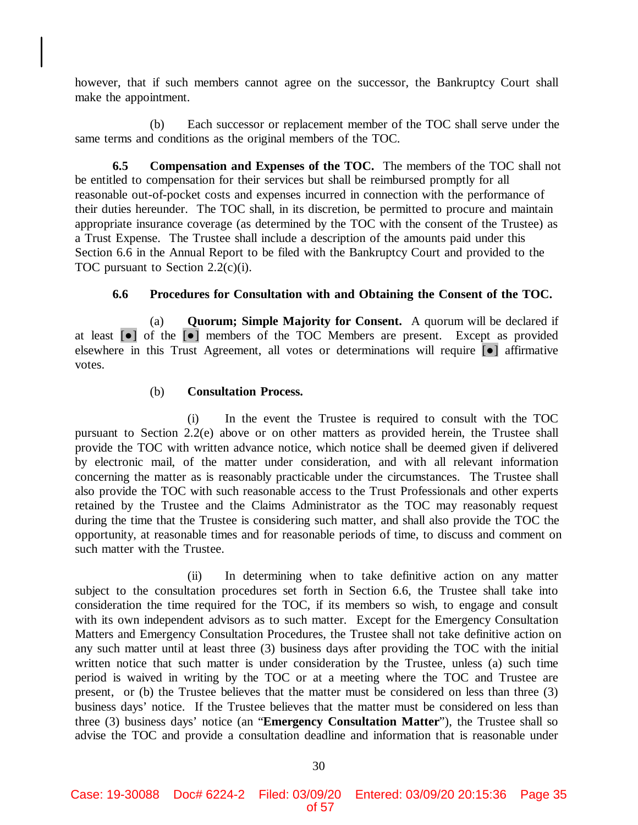however, that if such members cannot agree on the successor, the Bankruptcy Court shall make the appointment.

(b) Each successor or replacement member of the TOC shall serve under the same terms and conditions as the original members of the TOC.

**6.5 Compensation and Expenses of the TOC.** The members of the TOC shall not be entitled to compensation for their services but shall be reimbursed promptly for all reasonable out-of-pocket costs and expenses incurred in connection with the performance of their duties hereunder. The TOC shall, in its discretion, be permitted to procure and maintain appropriate insurance coverage (as determined by the TOC with the consent of the Trustee) as a Trust Expense. The Trustee shall include a description of the amounts paid under this Section 6.6 in the Annual Report to be filed with the Bankruptcy Court and provided to the TOC pursuant to Section 2.2(c)(i).

## **6.6 Procedures for Consultation with and Obtaining the Consent of the TOC.**

(a) **Quorum; Simple Majority for Consent.** A quorum will be declared if at least [●] of the [●] members of the TOC Members are present. Except as provided elsewhere in this Trust Agreement, all votes or determinations will require [●] affirmative votes.

### (b) **Consultation Process.**

(i) In the event the Trustee is required to consult with the TOC pursuant to Section 2.2(e) above or on other matters as provided herein, the Trustee shall provide the TOC with written advance notice, which notice shall be deemed given if delivered by electronic mail, of the matter under consideration, and with all relevant information concerning the matter as is reasonably practicable under the circumstances. The Trustee shall also provide the TOC with such reasonable access to the Trust Professionals and other experts retained by the Trustee and the Claims Administrator as the TOC may reasonably request during the time that the Trustee is considering such matter, and shall also provide the TOC the opportunity, at reasonable times and for reasonable periods of time, to discuss and comment on such matter with the Trustee.

(ii) In determining when to take definitive action on any matter subject to the consultation procedures set forth in Section 6.6, the Trustee shall take into consideration the time required for the TOC, if its members so wish, to engage and consult with its own independent advisors as to such matter. Except for the Emergency Consultation Matters and Emergency Consultation Procedures, the Trustee shall not take definitive action on any such matter until at least three (3) business days after providing the TOC with the initial written notice that such matter is under consideration by the Trustee, unless (a) such time period is waived in writing by the TOC or at a meeting where the TOC and Trustee are present, or (b) the Trustee believes that the matter must be considered on less than three (3) business days' notice. If the Trustee believes that the matter must be considered on less than three (3) business days' notice (an "**Emergency Consultation Matter**"), the Trustee shall so advise the TOC and provide a consultation deadline and information that is reasonable under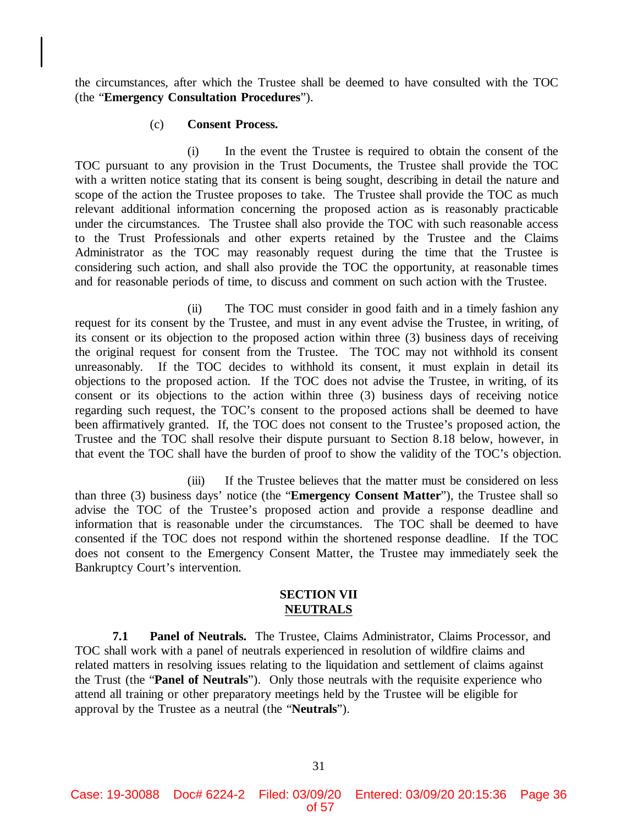the circumstances, after which the Trustee shall be deemed to have consulted with the TOC (the "**Emergency Consultation Procedures**").

#### (c) **Consent Process.**

(i) In the event the Trustee is required to obtain the consent of the TOC pursuant to any provision in the Trust Documents, the Trustee shall provide the TOC with a written notice stating that its consent is being sought, describing in detail the nature and scope of the action the Trustee proposes to take. The Trustee shall provide the TOC as much relevant additional information concerning the proposed action as is reasonably practicable under the circumstances. The Trustee shall also provide the TOC with such reasonable access to the Trust Professionals and other experts retained by the Trustee and the Claims Administrator as the TOC may reasonably request during the time that the Trustee is considering such action, and shall also provide the TOC the opportunity, at reasonable times and for reasonable periods of time, to discuss and comment on such action with the Trustee.

(ii) The TOC must consider in good faith and in a timely fashion any request for its consent by the Trustee, and must in any event advise the Trustee, in writing, of its consent or its objection to the proposed action within three (3) business days of receiving the original request for consent from the Trustee. The TOC may not withhold its consent unreasonably. If the TOC decides to withhold its consent, it must explain in detail its objections to the proposed action. If the TOC does not advise the Trustee, in writing, of its consent or its objections to the action within three (3) business days of receiving notice regarding such request, the TOC's consent to the proposed actions shall be deemed to have been affirmatively granted. If, the TOC does not consent to the Trustee's proposed action, the Trustee and the TOC shall resolve their dispute pursuant to Section 8.18 below, however, in that event the TOC shall have the burden of proof to show the validity of the TOC's objection.

(iii) If the Trustee believes that the matter must be considered on less than three (3) business days' notice (the "**Emergency Consent Matter**"), the Trustee shall so advise the TOC of the Trustee's proposed action and provide a response deadline and information that is reasonable under the circumstances. The TOC shall be deemed to have consented if the TOC does not respond within the shortened response deadline. If the TOC does not consent to the Emergency Consent Matter, the Trustee may immediately seek the Bankruptcy Court's intervention.

### **SECTION VII NEUTRALS**

**7.1 Panel of Neutrals.** The Trustee, Claims Administrator, Claims Processor, and TOC shall work with a panel of neutrals experienced in resolution of wildfire claims and related matters in resolving issues relating to the liquidation and settlement of claims against the Trust (the "**Panel of Neutrals**"). Only those neutrals with the requisite experience who attend all training or other preparatory meetings held by the Trustee will be eligible for approval by the Trustee as a neutral (the "**Neutrals**").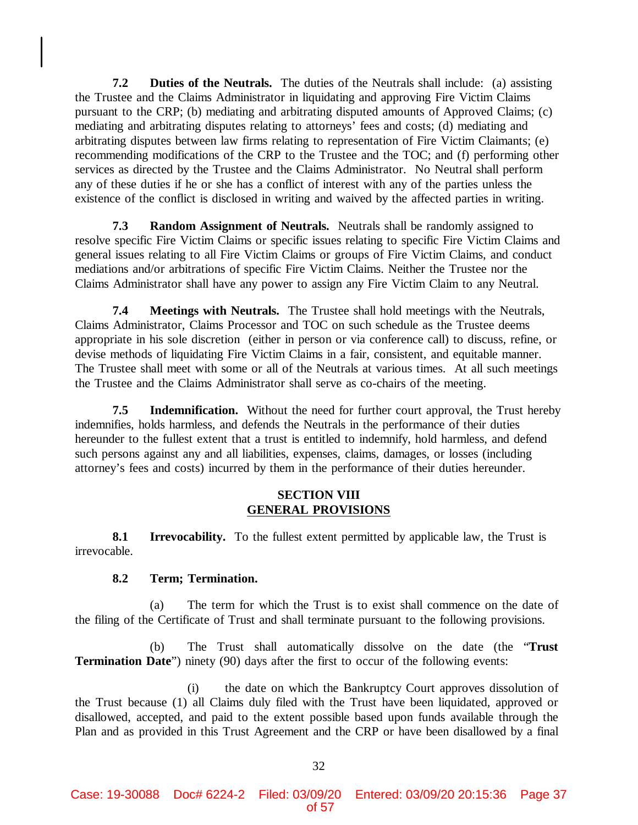**7.2 Duties of the Neutrals.** The duties of the Neutrals shall include: (a) assisting the Trustee and the Claims Administrator in liquidating and approving Fire Victim Claims pursuant to the CRP; (b) mediating and arbitrating disputed amounts of Approved Claims; (c) mediating and arbitrating disputes relating to attorneys' fees and costs; (d) mediating and arbitrating disputes between law firms relating to representation of Fire Victim Claimants; (e) recommending modifications of the CRP to the Trustee and the TOC; and (f) performing other services as directed by the Trustee and the Claims Administrator. No Neutral shall perform any of these duties if he or she has a conflict of interest with any of the parties unless the existence of the conflict is disclosed in writing and waived by the affected parties in writing.

**7.3 Random Assignment of Neutrals.** Neutrals shall be randomly assigned to resolve specific Fire Victim Claims or specific issues relating to specific Fire Victim Claims and general issues relating to all Fire Victim Claims or groups of Fire Victim Claims, and conduct mediations and/or arbitrations of specific Fire Victim Claims. Neither the Trustee nor the Claims Administrator shall have any power to assign any Fire Victim Claim to any Neutral.

**7.4 Meetings with Neutrals.** The Trustee shall hold meetings with the Neutrals, Claims Administrator, Claims Processor and TOC on such schedule as the Trustee deems appropriate in his sole discretion (either in person or via conference call) to discuss, refine, or devise methods of liquidating Fire Victim Claims in a fair, consistent, and equitable manner. The Trustee shall meet with some or all of the Neutrals at various times. At all such meetings the Trustee and the Claims Administrator shall serve as co-chairs of the meeting.

**7.5 Indemnification.** Without the need for further court approval, the Trust hereby indemnifies, holds harmless, and defends the Neutrals in the performance of their duties hereunder to the fullest extent that a trust is entitled to indemnify, hold harmless, and defend such persons against any and all liabilities, expenses, claims, damages, or losses (including attorney's fees and costs) incurred by them in the performance of their duties hereunder.

## **SECTION VIII GENERAL PROVISIONS**

**8.1 Irrevocability.** To the fullest extent permitted by applicable law, the Trust is irrevocable.

### **8.2 Term; Termination.**

(a) The term for which the Trust is to exist shall commence on the date of the filing of the Certificate of Trust and shall terminate pursuant to the following provisions.

(b) The Trust shall automatically dissolve on the date (the "**Trust Termination Date**") ninety (90) days after the first to occur of the following events:

(i) the date on which the Bankruptcy Court approves dissolution of the Trust because (1) all Claims duly filed with the Trust have been liquidated, approved or disallowed, accepted, and paid to the extent possible based upon funds available through the Plan and as provided in this Trust Agreement and the CRP or have been disallowed by a final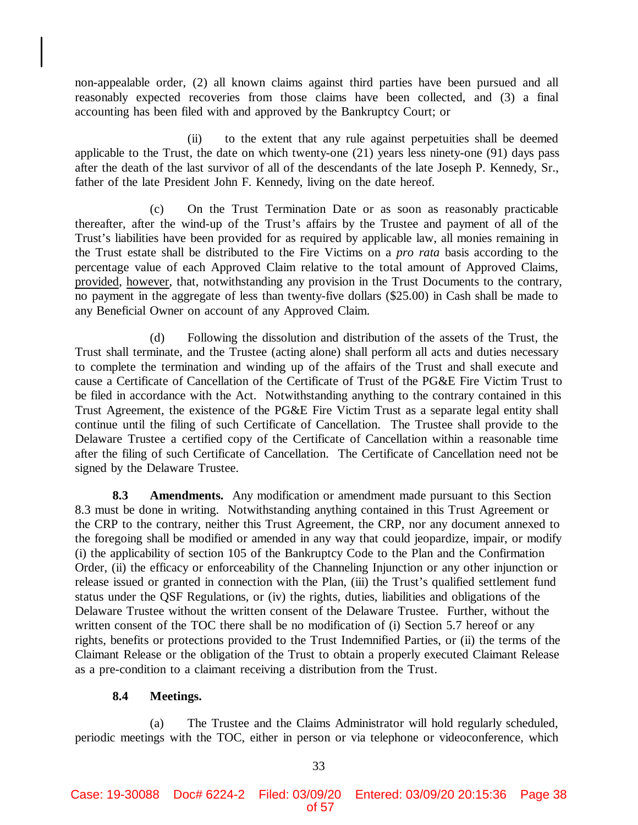non-appealable order, (2) all known claims against third parties have been pursued and all reasonably expected recoveries from those claims have been collected, and (3) a final accounting has been filed with and approved by the Bankruptcy Court; or

(ii) to the extent that any rule against perpetuities shall be deemed applicable to the Trust, the date on which twenty-one (21) years less ninety-one (91) days pass after the death of the last survivor of all of the descendants of the late Joseph P. Kennedy, Sr., father of the late President John F. Kennedy, living on the date hereof.

(c) On the Trust Termination Date or as soon as reasonably practicable thereafter, after the wind-up of the Trust's affairs by the Trustee and payment of all of the Trust's liabilities have been provided for as required by applicable law, all monies remaining in the Trust estate shall be distributed to the Fire Victims on a *pro rata* basis according to the percentage value of each Approved Claim relative to the total amount of Approved Claims, provided, however, that, notwithstanding any provision in the Trust Documents to the contrary, no payment in the aggregate of less than twenty-five dollars (\$25.00) in Cash shall be made to any Beneficial Owner on account of any Approved Claim.

(d) Following the dissolution and distribution of the assets of the Trust, the Trust shall terminate, and the Trustee (acting alone) shall perform all acts and duties necessary to complete the termination and winding up of the affairs of the Trust and shall execute and cause a Certificate of Cancellation of the Certificate of Trust of the PG&E Fire Victim Trust to be filed in accordance with the Act. Notwithstanding anything to the contrary contained in this Trust Agreement, the existence of the PG&E Fire Victim Trust as a separate legal entity shall continue until the filing of such Certificate of Cancellation. The Trustee shall provide to the Delaware Trustee a certified copy of the Certificate of Cancellation within a reasonable time after the filing of such Certificate of Cancellation. The Certificate of Cancellation need not be signed by the Delaware Trustee.

**8.3 Amendments.** Any modification or amendment made pursuant to this Section 8.3 must be done in writing. Notwithstanding anything contained in this Trust Agreement or the CRP to the contrary, neither this Trust Agreement, the CRP, nor any document annexed to the foregoing shall be modified or amended in any way that could jeopardize, impair, or modify (i) the applicability of section 105 of the Bankruptcy Code to the Plan and the Confirmation Order, (ii) the efficacy or enforceability of the Channeling Injunction or any other injunction or release issued or granted in connection with the Plan, (iii) the Trust's qualified settlement fund status under the QSF Regulations, or (iv) the rights, duties, liabilities and obligations of the Delaware Trustee without the written consent of the Delaware Trustee. Further, without the written consent of the TOC there shall be no modification of (i) Section 5.7 hereof or any rights, benefits or protections provided to the Trust Indemnified Parties, or (ii) the terms of the Claimant Release or the obligation of the Trust to obtain a properly executed Claimant Release as a pre-condition to a claimant receiving a distribution from the Trust.

#### **8.4 Meetings.**

(a) The Trustee and the Claims Administrator will hold regularly scheduled, periodic meetings with the TOC, either in person or via telephone or videoconference, which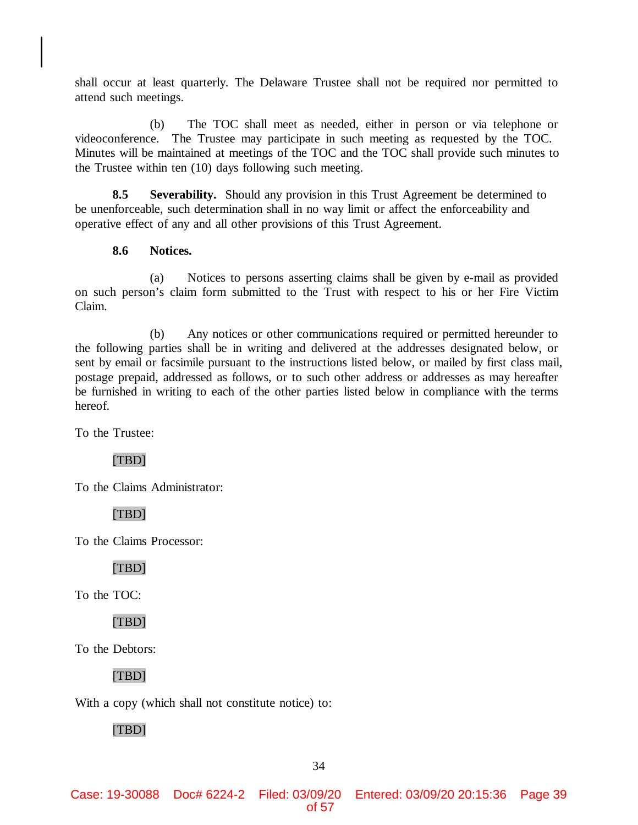shall occur at least quarterly. The Delaware Trustee shall not be required nor permitted to attend such meetings.

(b) The TOC shall meet as needed, either in person or via telephone or videoconference. The Trustee may participate in such meeting as requested by the TOC. Minutes will be maintained at meetings of the TOC and the TOC shall provide such minutes to the Trustee within ten (10) days following such meeting.

**8.5 Severability.** Should any provision in this Trust Agreement be determined to be unenforceable, such determination shall in no way limit or affect the enforceability and operative effect of any and all other provisions of this Trust Agreement.

### **8.6 Notices.**

(a) Notices to persons asserting claims shall be given by e-mail as provided on such person's claim form submitted to the Trust with respect to his or her Fire Victim Claim.

(b) Any notices or other communications required or permitted hereunder to the following parties shall be in writing and delivered at the addresses designated below, or sent by email or facsimile pursuant to the instructions listed below, or mailed by first class mail, postage prepaid, addressed as follows, or to such other address or addresses as may hereafter be furnished in writing to each of the other parties listed below in compliance with the terms hereof.

To the Trustee:

[TBD]

To the Claims Administrator:

#### [TBD]

To the Claims Processor:

[TBD]

To the TOC:

#### [TBD]

To the Debtors:

[TBD]

With a copy (which shall not constitute notice) to:

#### [TBD]

Case: 19-30088 Doc# 6224-2 Filed: 03/09/20 Entered: 03/09/20 20:15:36 Page 39 of 57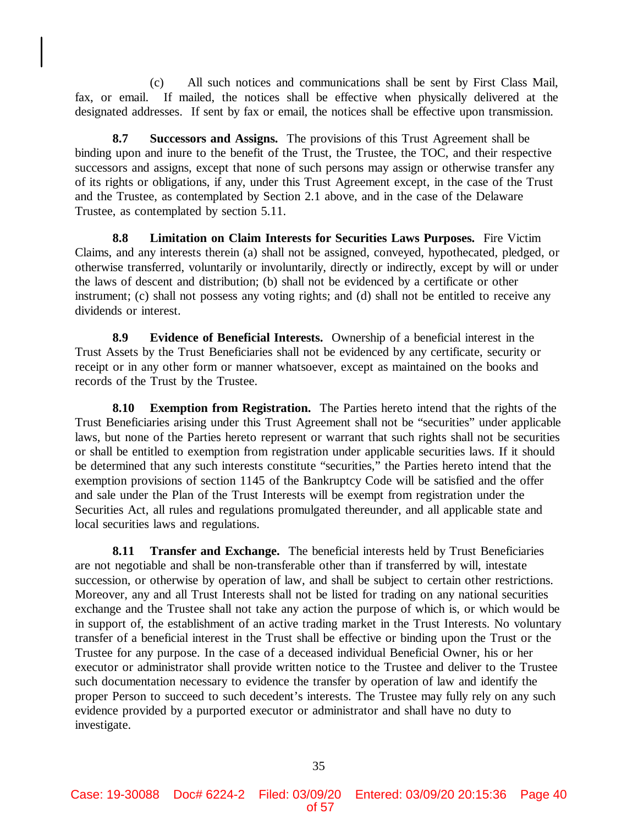(c) All such notices and communications shall be sent by First Class Mail, fax, or email. If mailed, the notices shall be effective when physically delivered at the designated addresses. If sent by fax or email, the notices shall be effective upon transmission.

**8.7 Successors and Assigns.** The provisions of this Trust Agreement shall be binding upon and inure to the benefit of the Trust, the Trustee, the TOC, and their respective successors and assigns, except that none of such persons may assign or otherwise transfer any of its rights or obligations, if any, under this Trust Agreement except, in the case of the Trust and the Trustee, as contemplated by Section 2.1 above, and in the case of the Delaware Trustee, as contemplated by section 5.11.

**8.8 Limitation on Claim Interests for Securities Laws Purposes.** Fire Victim Claims, and any interests therein (a) shall not be assigned, conveyed, hypothecated, pledged, or otherwise transferred, voluntarily or involuntarily, directly or indirectly, except by will or under the laws of descent and distribution; (b) shall not be evidenced by a certificate or other instrument; (c) shall not possess any voting rights; and (d) shall not be entitled to receive any dividends or interest.

**8.9 Evidence of Beneficial Interests.** Ownership of a beneficial interest in the Trust Assets by the Trust Beneficiaries shall not be evidenced by any certificate, security or receipt or in any other form or manner whatsoever, except as maintained on the books and records of the Trust by the Trustee.

**8.10 Exemption from Registration.** The Parties hereto intend that the rights of the Trust Beneficiaries arising under this Trust Agreement shall not be "securities" under applicable laws, but none of the Parties hereto represent or warrant that such rights shall not be securities or shall be entitled to exemption from registration under applicable securities laws. If it should be determined that any such interests constitute "securities," the Parties hereto intend that the exemption provisions of section 1145 of the Bankruptcy Code will be satisfied and the offer and sale under the Plan of the Trust Interests will be exempt from registration under the Securities Act, all rules and regulations promulgated thereunder, and all applicable state and local securities laws and regulations.

**8.11 Transfer and Exchange.** The beneficial interests held by Trust Beneficiaries are not negotiable and shall be non-transferable other than if transferred by will, intestate succession, or otherwise by operation of law, and shall be subject to certain other restrictions. Moreover, any and all Trust Interests shall not be listed for trading on any national securities exchange and the Trustee shall not take any action the purpose of which is, or which would be in support of, the establishment of an active trading market in the Trust Interests. No voluntary transfer of a beneficial interest in the Trust shall be effective or binding upon the Trust or the Trustee for any purpose. In the case of a deceased individual Beneficial Owner, his or her executor or administrator shall provide written notice to the Trustee and deliver to the Trustee such documentation necessary to evidence the transfer by operation of law and identify the proper Person to succeed to such decedent's interests. The Trustee may fully rely on any such evidence provided by a purported executor or administrator and shall have no duty to investigate.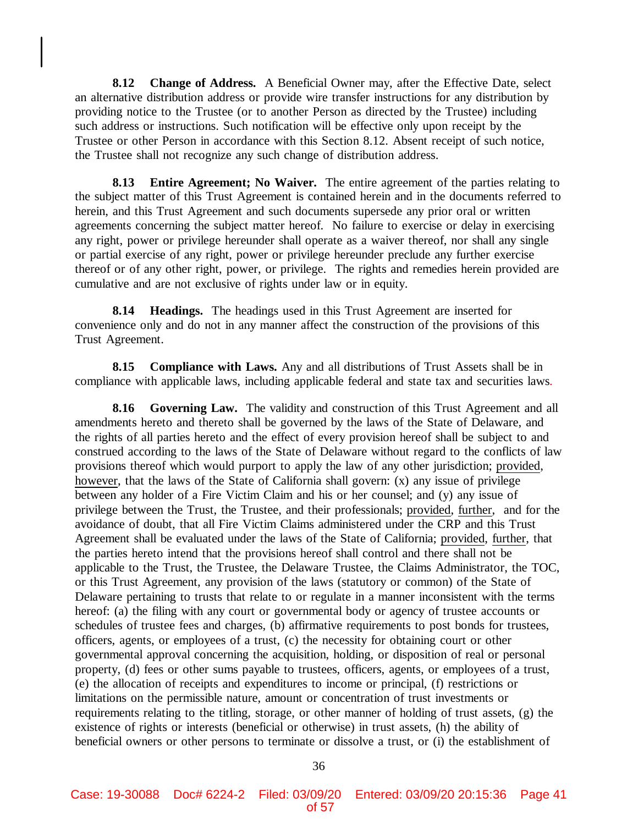**8.12 Change of Address.** A Beneficial Owner may, after the Effective Date, select an alternative distribution address or provide wire transfer instructions for any distribution by providing notice to the Trustee (or to another Person as directed by the Trustee) including such address or instructions. Such notification will be effective only upon receipt by the Trustee or other Person in accordance with this Section 8.12. Absent receipt of such notice, the Trustee shall not recognize any such change of distribution address.

**8.13 Entire Agreement; No Waiver.** The entire agreement of the parties relating to the subject matter of this Trust Agreement is contained herein and in the documents referred to herein, and this Trust Agreement and such documents supersede any prior oral or written agreements concerning the subject matter hereof. No failure to exercise or delay in exercising any right, power or privilege hereunder shall operate as a waiver thereof, nor shall any single or partial exercise of any right, power or privilege hereunder preclude any further exercise thereof or of any other right, power, or privilege. The rights and remedies herein provided are cumulative and are not exclusive of rights under law or in equity.

**8.14 Headings.** The headings used in this Trust Agreement are inserted for convenience only and do not in any manner affect the construction of the provisions of this Trust Agreement.

**8.15 Compliance with Laws.** Any and all distributions of Trust Assets shall be in compliance with applicable laws, including applicable federal and state tax and securities laws*.*

**8.16 Governing Law.** The validity and construction of this Trust Agreement and all amendments hereto and thereto shall be governed by the laws of the State of Delaware, and the rights of all parties hereto and the effect of every provision hereof shall be subject to and construed according to the laws of the State of Delaware without regard to the conflicts of law provisions thereof which would purport to apply the law of any other jurisdiction; provided, however, that the laws of the State of California shall govern: (x) any issue of privilege between any holder of a Fire Victim Claim and his or her counsel; and (y) any issue of privilege between the Trust, the Trustee, and their professionals; provided, further, and for the avoidance of doubt, that all Fire Victim Claims administered under the CRP and this Trust Agreement shall be evaluated under the laws of the State of California; provided, further, that the parties hereto intend that the provisions hereof shall control and there shall not be applicable to the Trust, the Trustee, the Delaware Trustee, the Claims Administrator, the TOC, or this Trust Agreement, any provision of the laws (statutory or common) of the State of Delaware pertaining to trusts that relate to or regulate in a manner inconsistent with the terms hereof: (a) the filing with any court or governmental body or agency of trustee accounts or schedules of trustee fees and charges, (b) affirmative requirements to post bonds for trustees, officers, agents, or employees of a trust, (c) the necessity for obtaining court or other governmental approval concerning the acquisition, holding, or disposition of real or personal property, (d) fees or other sums payable to trustees, officers, agents, or employees of a trust, (e) the allocation of receipts and expenditures to income or principal, (f) restrictions or limitations on the permissible nature, amount or concentration of trust investments or requirements relating to the titling, storage, or other manner of holding of trust assets, (g) the existence of rights or interests (beneficial or otherwise) in trust assets, (h) the ability of beneficial owners or other persons to terminate or dissolve a trust, or (i) the establishment of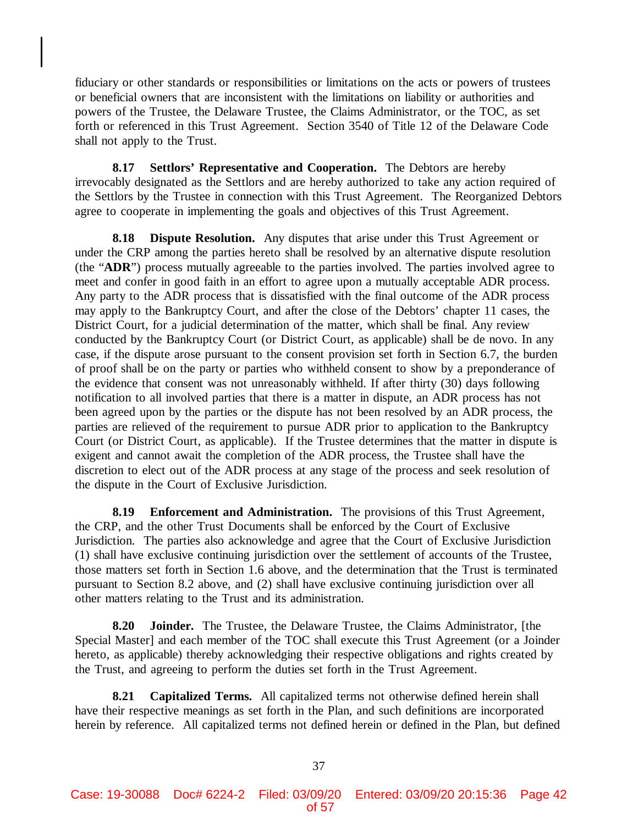fiduciary or other standards or responsibilities or limitations on the acts or powers of trustees or beneficial owners that are inconsistent with the limitations on liability or authorities and powers of the Trustee, the Delaware Trustee, the Claims Administrator, or the TOC, as set forth or referenced in this Trust Agreement. Section 3540 of Title 12 of the Delaware Code shall not apply to the Trust.

**8.17 Settlors' Representative and Cooperation.** The Debtors are hereby irrevocably designated as the Settlors and are hereby authorized to take any action required of the Settlors by the Trustee in connection with this Trust Agreement. The Reorganized Debtors agree to cooperate in implementing the goals and objectives of this Trust Agreement.

**8.18 Dispute Resolution.** Any disputes that arise under this Trust Agreement or under the CRP among the parties hereto shall be resolved by an alternative dispute resolution (the "**ADR**") process mutually agreeable to the parties involved. The parties involved agree to meet and confer in good faith in an effort to agree upon a mutually acceptable ADR process. Any party to the ADR process that is dissatisfied with the final outcome of the ADR process may apply to the Bankruptcy Court, and after the close of the Debtors' chapter 11 cases, the District Court, for a judicial determination of the matter, which shall be final. Any review conducted by the Bankruptcy Court (or District Court, as applicable) shall be de novo. In any case, if the dispute arose pursuant to the consent provision set forth in Section 6.7, the burden of proof shall be on the party or parties who withheld consent to show by a preponderance of the evidence that consent was not unreasonably withheld. If after thirty (30) days following notification to all involved parties that there is a matter in dispute, an ADR process has not been agreed upon by the parties or the dispute has not been resolved by an ADR process, the parties are relieved of the requirement to pursue ADR prior to application to the Bankruptcy Court (or District Court, as applicable). If the Trustee determines that the matter in dispute is exigent and cannot await the completion of the ADR process, the Trustee shall have the discretion to elect out of the ADR process at any stage of the process and seek resolution of the dispute in the Court of Exclusive Jurisdiction.

**8.19 Enforcement and Administration.** The provisions of this Trust Agreement, the CRP, and the other Trust Documents shall be enforced by the Court of Exclusive Jurisdiction. The parties also acknowledge and agree that the Court of Exclusive Jurisdiction (1) shall have exclusive continuing jurisdiction over the settlement of accounts of the Trustee, those matters set forth in Section 1.6 above, and the determination that the Trust is terminated pursuant to Section 8.2 above, and (2) shall have exclusive continuing jurisdiction over all other matters relating to the Trust and its administration.

**8.20 Joinder.** The Trustee, the Delaware Trustee, the Claims Administrator, [the Special Master] and each member of the TOC shall execute this Trust Agreement (or a Joinder hereto, as applicable) thereby acknowledging their respective obligations and rights created by the Trust, and agreeing to perform the duties set forth in the Trust Agreement.

**8.21 Capitalized Terms.** All capitalized terms not otherwise defined herein shall have their respective meanings as set forth in the Plan, and such definitions are incorporated herein by reference. All capitalized terms not defined herein or defined in the Plan, but defined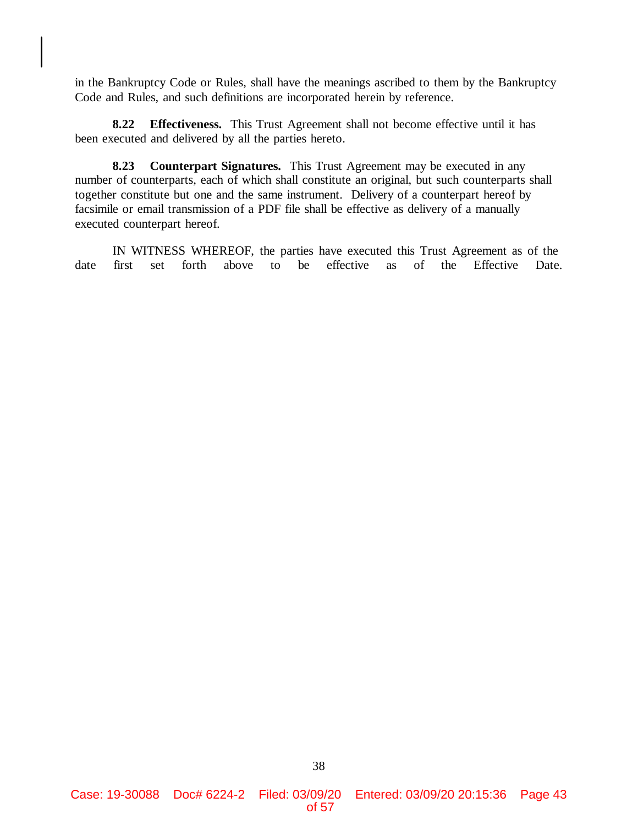in the Bankruptcy Code or Rules, shall have the meanings ascribed to them by the Bankruptcy Code and Rules, and such definitions are incorporated herein by reference.

**8.22 Effectiveness.** This Trust Agreement shall not become effective until it has been executed and delivered by all the parties hereto.

**8.23 Counterpart Signatures.** This Trust Agreement may be executed in any number of counterparts, each of which shall constitute an original, but such counterparts shall together constitute but one and the same instrument. Delivery of a counterpart hereof by facsimile or email transmission of a PDF file shall be effective as delivery of a manually executed counterpart hereof.

IN WITNESS WHEREOF, the parties have executed this Trust Agreement as of the date first set forth above to be effective as of the Effective Date.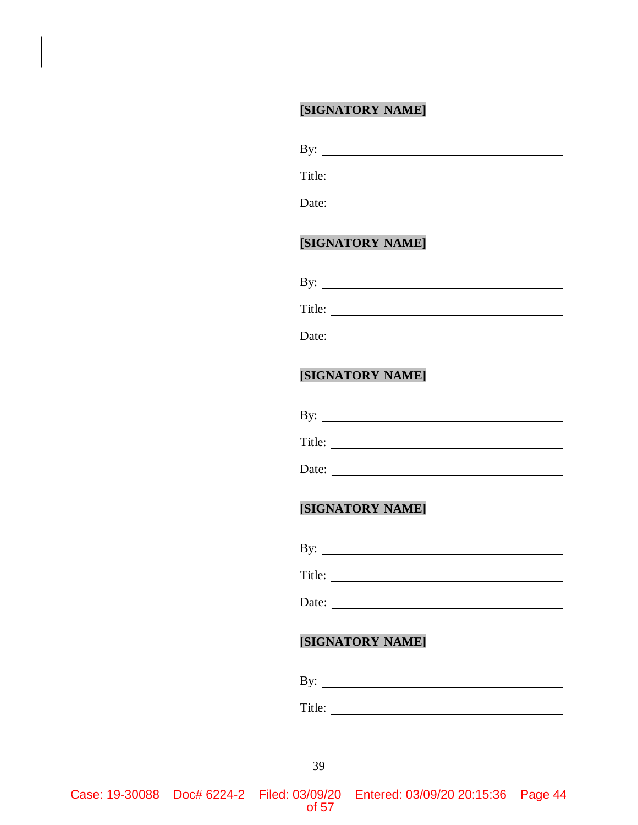# **[SIGNATORY NAME]**

By: Title:

Date:

## **[SIGNATORY NAME]**

Title:

Date:

# **[SIGNATORY NAME]**

By:

Title:

Date:

## **[SIGNATORY NAME]**

By:

Title:

Date:

## **[SIGNATORY NAME]**

By: The contract of the contract of the contract of the contract of the contract of the contract of the contract of the contract of the contract of the contract of the contract of the contract of the contract of the contra

Title: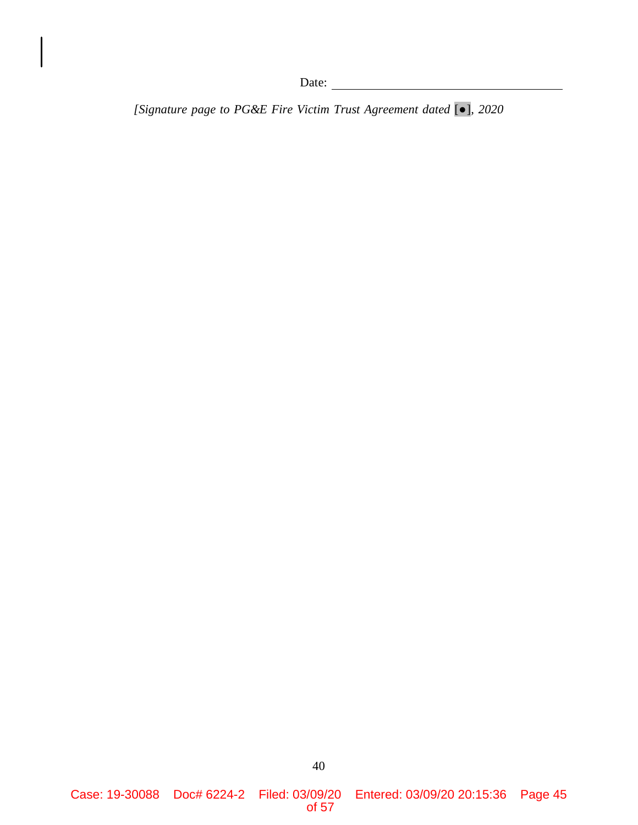*[Signature page to PG&E Fire Victim Trust Agreement dated* [●]*, 2020*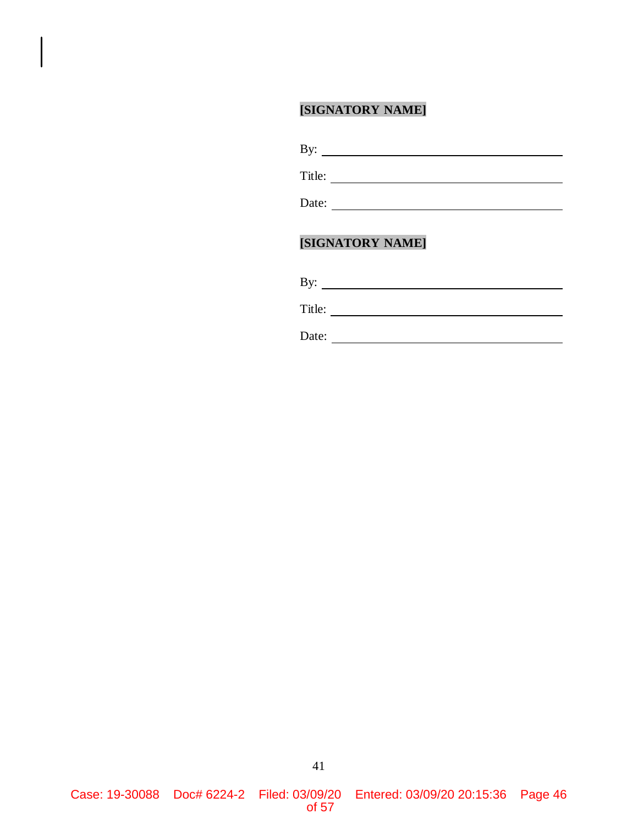# **[SIGNATORY NAME]**

By: Title:

Date:

# **[SIGNATORY NAME]**

| By:    |  |
|--------|--|
| Title: |  |
| Date:  |  |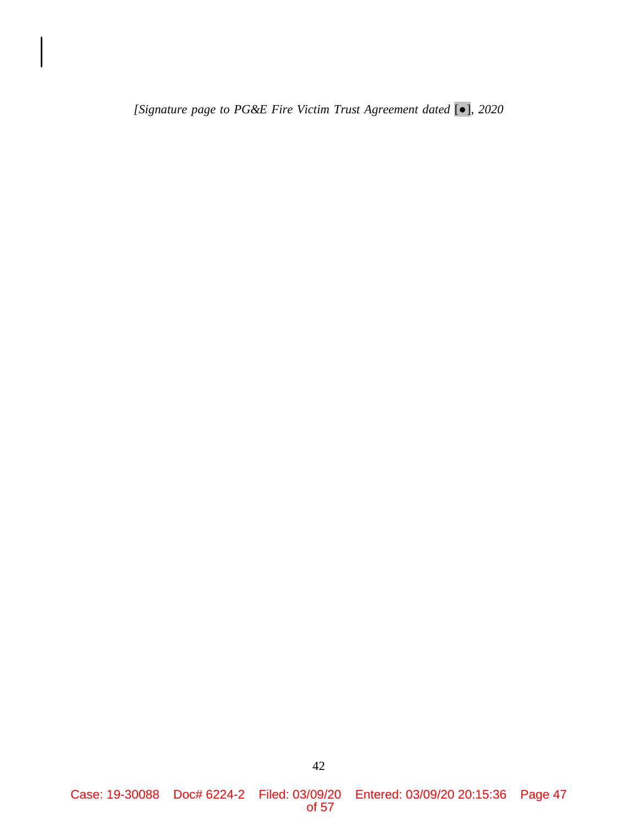*[Signature page to PG&E Fire Victim Trust Agreement dated* [●]*, 2020*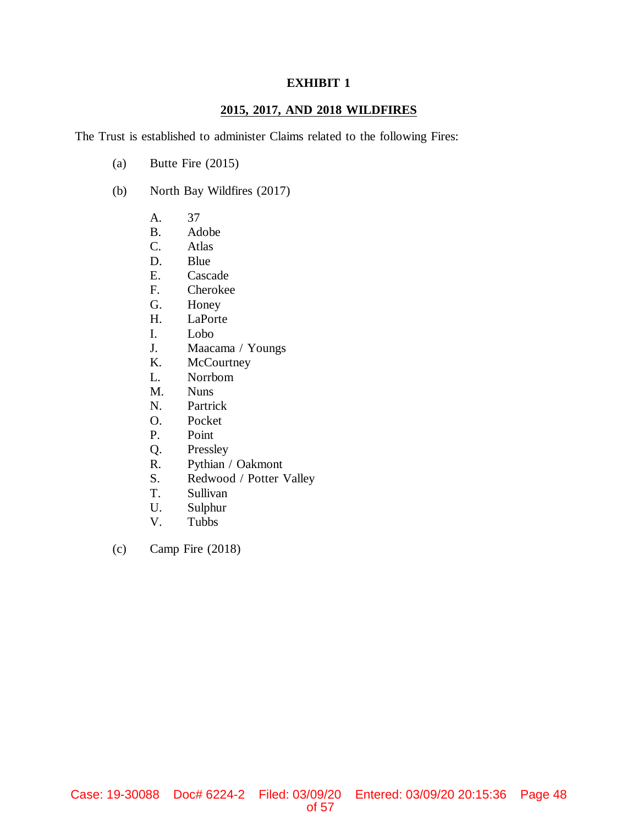## **2015, 2017, AND 2018 WILDFIRES**

The Trust is established to administer Claims related to the following Fires:

- (a) Butte Fire (2015)
- (b) North Bay Wildfires (2017)
	- A. 37
	- B. Adobe
	- C. Atlas
	- D. Blue
	- E. Cascade
	- F. Cherokee
	- G. Honey
	- H. LaPorte
	- I. Lobo
	- J. Maacama / Youngs
	- K. McCourtney
	- L. Norrbom
	- M. Nuns
	- N. Partrick
	- O. Pocket
	- P. Point
	- Q. Pressley
	- R. Pythian / Oakmont
	- S. Redwood / Potter Valley
	- T. Sullivan
	- U. Sulphur
	- V. Tubbs
- (c) Camp Fire (2018)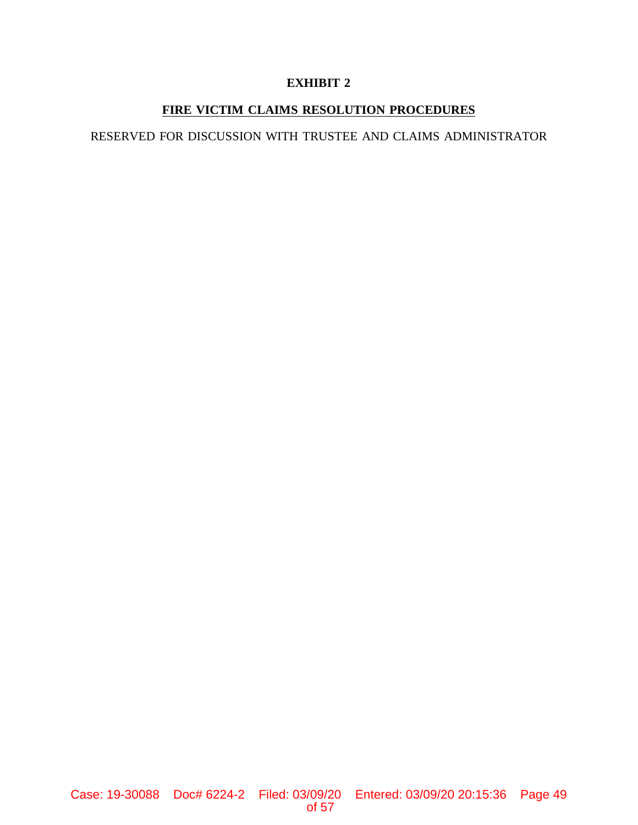# **FIRE VICTIM CLAIMS RESOLUTION PROCEDURES**

# RESERVED FOR DISCUSSION WITH TRUSTEE AND CLAIMS ADMINISTRATOR

Case: 19-30088 Doc# 6224-2 Filed: 03/09/20 Entered: 03/09/20 20:15:36 Page 49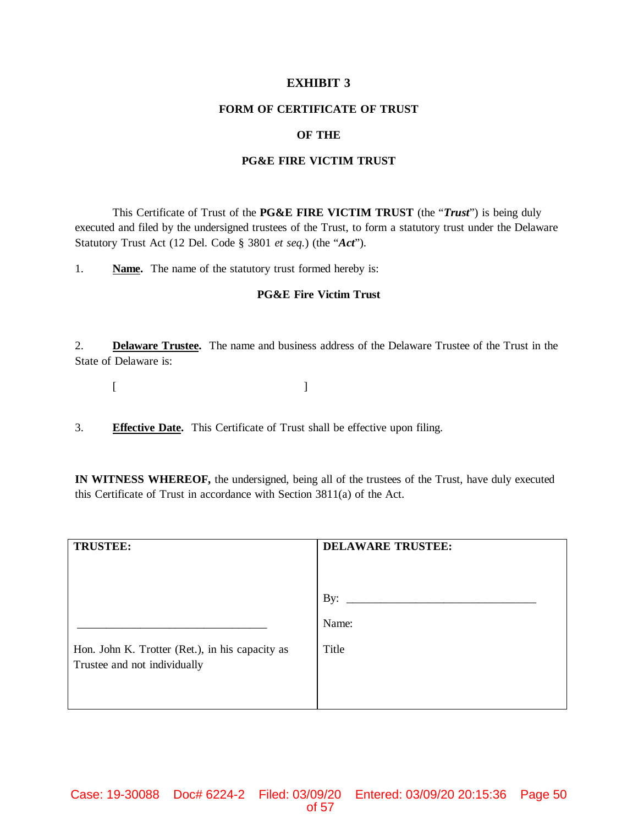## **FORM OF CERTIFICATE OF TRUST**

## **OF THE**

## **PG&E FIRE VICTIM TRUST**

This Certificate of Trust of the **PG&E FIRE VICTIM TRUST** (the "*Trust*") is being duly executed and filed by the undersigned trustees of the Trust, to form a statutory trust under the Delaware Statutory Trust Act (12 Del. Code § 3801 *et seq.*) (the "*Act*").

1. **Name.** The name of the statutory trust formed hereby is:

### **PG&E Fire Victim Trust**

2. **Delaware Trustee.** The name and business address of the Delaware Trustee of the Trust in the State of Delaware is:

 $[$ 

3. **Effective Date.** This Certificate of Trust shall be effective upon filing.

**IN WITNESS WHEREOF,** the undersigned, being all of the trustees of the Trust, have duly executed this Certificate of Trust in accordance with Section 3811(a) of the Act.

| <b>TRUSTEE:</b>                                                                 | <b>DELAWARE TRUSTEE:</b> |
|---------------------------------------------------------------------------------|--------------------------|
| Hon. John K. Trotter (Ret.), in his capacity as<br>Trustee and not individually | By:<br>Name:<br>Title    |

Case: 19-30088 Doc# 6224-2 Filed: 03/09/20 Entered: 03/09/20 20:15:36 Page 50 of 57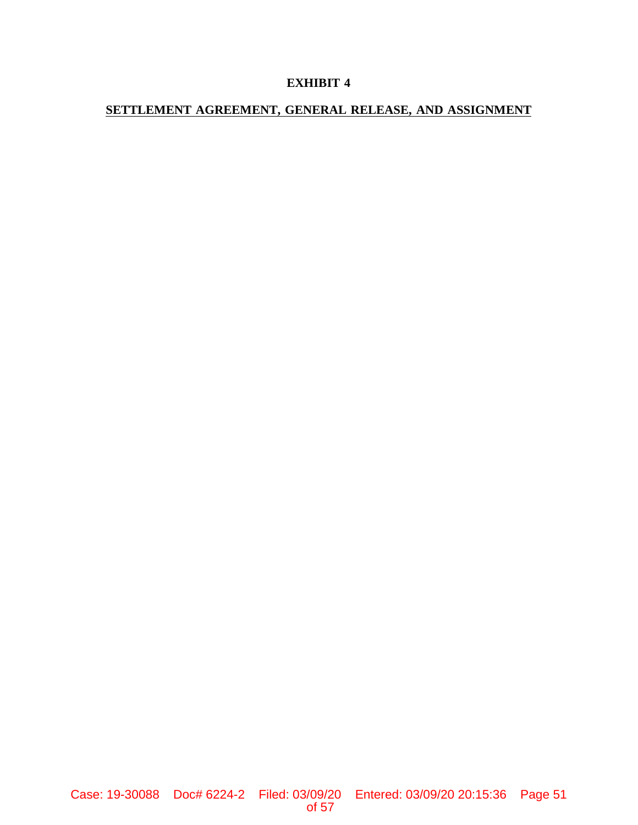# **SETTLEMENT AGREEMENT, GENERAL RELEASE, AND ASSIGNMENT**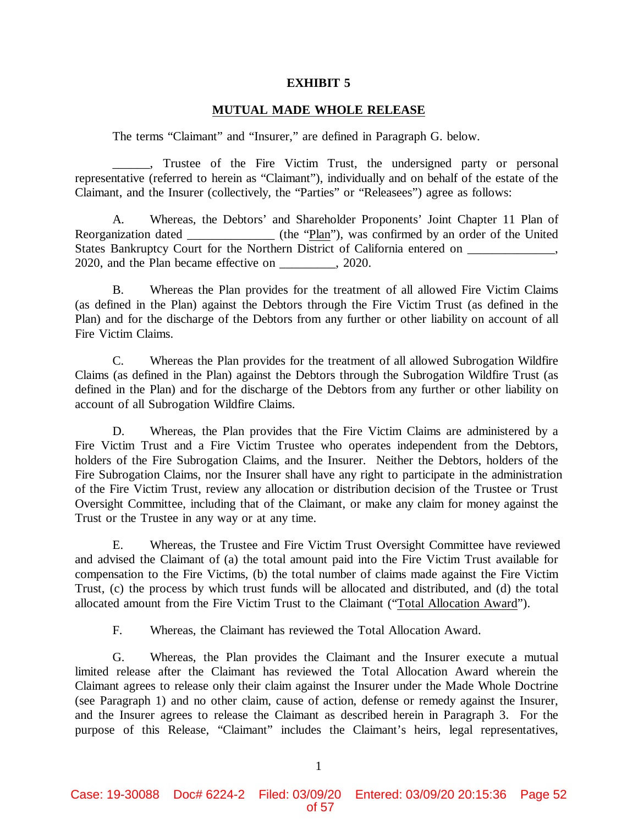#### **MUTUAL MADE WHOLE RELEASE**

The terms "Claimant" and "Insurer," are defined in Paragraph G. below.

Trustee of the Fire Victim Trust, the undersigned party or personal representative (referred to herein as "Claimant"), individually and on behalf of the estate of the Claimant, and the Insurer (collectively, the "Parties" or "Releasees") agree as follows:

A. Whereas, the Debtors' and Shareholder Proponents' Joint Chapter 11 Plan of Reorganization dated \_\_\_\_\_\_\_\_\_\_\_\_\_\_\_ (the "Plan"), was confirmed by an order of the United States Bankruptcy Court for the Northern District of California entered on \_\_\_\_\_\_\_\_\_\_\_\_, 2020, and the Plan became effective on \_\_\_\_\_\_\_\_\_, 2020.

B. Whereas the Plan provides for the treatment of all allowed Fire Victim Claims (as defined in the Plan) against the Debtors through the Fire Victim Trust (as defined in the Plan) and for the discharge of the Debtors from any further or other liability on account of all Fire Victim Claims.

C. Whereas the Plan provides for the treatment of all allowed Subrogation Wildfire Claims (as defined in the Plan) against the Debtors through the Subrogation Wildfire Trust (as defined in the Plan) and for the discharge of the Debtors from any further or other liability on account of all Subrogation Wildfire Claims.

D. Whereas, the Plan provides that the Fire Victim Claims are administered by a Fire Victim Trust and a Fire Victim Trustee who operates independent from the Debtors, holders of the Fire Subrogation Claims, and the Insurer. Neither the Debtors, holders of the Fire Subrogation Claims, nor the Insurer shall have any right to participate in the administration of the Fire Victim Trust, review any allocation or distribution decision of the Trustee or Trust Oversight Committee, including that of the Claimant, or make any claim for money against the Trust or the Trustee in any way or at any time.

E. Whereas, the Trustee and Fire Victim Trust Oversight Committee have reviewed and advised the Claimant of (a) the total amount paid into the Fire Victim Trust available for compensation to the Fire Victims, (b) the total number of claims made against the Fire Victim Trust, (c) the process by which trust funds will be allocated and distributed, and (d) the total allocated amount from the Fire Victim Trust to the Claimant ("Total Allocation Award").

F. Whereas, the Claimant has reviewed the Total Allocation Award.

G. Whereas, the Plan provides the Claimant and the Insurer execute a mutual limited release after the Claimant has reviewed the Total Allocation Award wherein the Claimant agrees to release only their claim against the Insurer under the Made Whole Doctrine (see Paragraph 1) and no other claim, cause of action, defense or remedy against the Insurer, and the Insurer agrees to release the Claimant as described herein in Paragraph 3. For the purpose of this Release, "Claimant" includes the Claimant's heirs, legal representatives,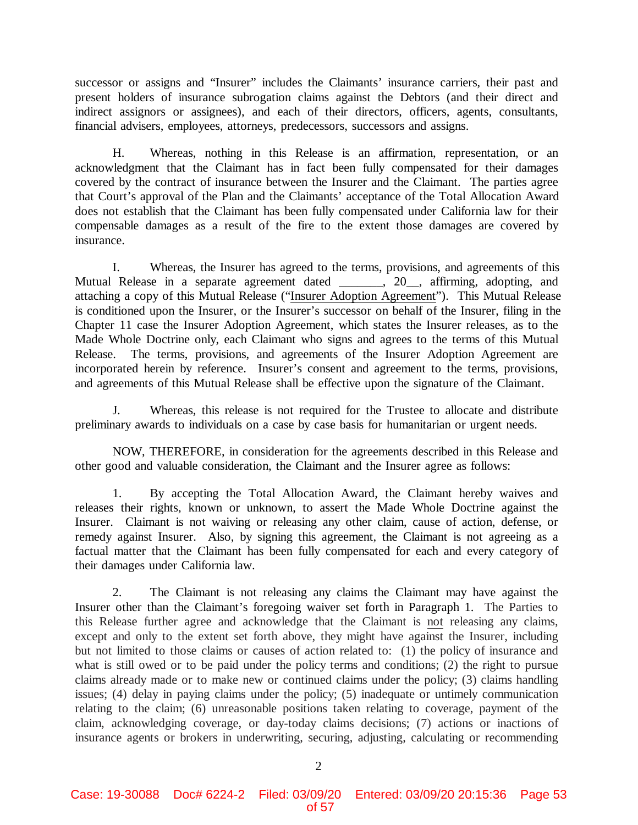successor or assigns and "Insurer" includes the Claimants' insurance carriers, their past and present holders of insurance subrogation claims against the Debtors (and their direct and indirect assignors or assignees), and each of their directors, officers, agents, consultants, financial advisers, employees, attorneys, predecessors, successors and assigns.

H. Whereas, nothing in this Release is an affirmation, representation, or an acknowledgment that the Claimant has in fact been fully compensated for their damages covered by the contract of insurance between the Insurer and the Claimant. The parties agree that Court's approval of the Plan and the Claimants' acceptance of the Total Allocation Award does not establish that the Claimant has been fully compensated under California law for their compensable damages as a result of the fire to the extent those damages are covered by insurance.

I. Whereas, the Insurer has agreed to the terms, provisions, and agreements of this Mutual Release in a separate agreement dated . 20 , affirming, adopting, and attaching a copy of this Mutual Release ("Insurer Adoption Agreement"). This Mutual Release is conditioned upon the Insurer, or the Insurer's successor on behalf of the Insurer, filing in the Chapter 11 case the Insurer Adoption Agreement, which states the Insurer releases, as to the Made Whole Doctrine only, each Claimant who signs and agrees to the terms of this Mutual Release. The terms, provisions, and agreements of the Insurer Adoption Agreement are incorporated herein by reference. Insurer's consent and agreement to the terms, provisions, and agreements of this Mutual Release shall be effective upon the signature of the Claimant.

J. Whereas, this release is not required for the Trustee to allocate and distribute preliminary awards to individuals on a case by case basis for humanitarian or urgent needs.

NOW, THEREFORE, in consideration for the agreements described in this Release and other good and valuable consideration, the Claimant and the Insurer agree as follows:

1. By accepting the Total Allocation Award, the Claimant hereby waives and releases their rights, known or unknown, to assert the Made Whole Doctrine against the Insurer. Claimant is not waiving or releasing any other claim, cause of action, defense, or remedy against Insurer. Also, by signing this agreement, the Claimant is not agreeing as a factual matter that the Claimant has been fully compensated for each and every category of their damages under California law.

2. The Claimant is not releasing any claims the Claimant may have against the Insurer other than the Claimant's foregoing waiver set forth in Paragraph 1. The Parties to this Release further agree and acknowledge that the Claimant is not releasing any claims, except and only to the extent set forth above, they might have against the Insurer, including but not limited to those claims or causes of action related to: (1) the policy of insurance and what is still owed or to be paid under the policy terms and conditions; (2) the right to pursue claims already made or to make new or continued claims under the policy; (3) claims handling issues; (4) delay in paying claims under the policy; (5) inadequate or untimely communication relating to the claim; (6) unreasonable positions taken relating to coverage, payment of the claim, acknowledging coverage, or day-today claims decisions; (7) actions or inactions of insurance agents or brokers in underwriting, securing, adjusting, calculating or recommending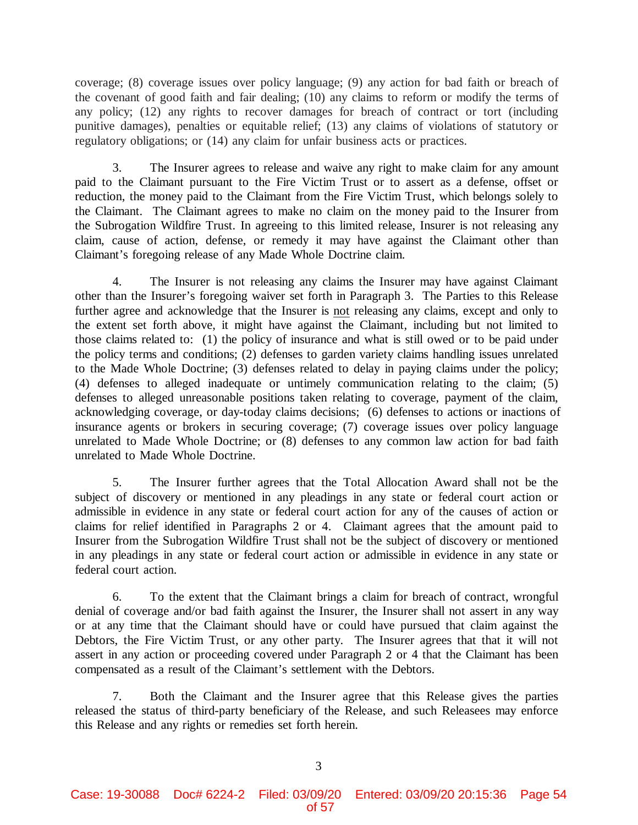coverage; (8) coverage issues over policy language; (9) any action for bad faith or breach of the covenant of good faith and fair dealing; (10) any claims to reform or modify the terms of any policy; (12) any rights to recover damages for breach of contract or tort (including punitive damages), penalties or equitable relief; (13) any claims of violations of statutory or regulatory obligations; or (14) any claim for unfair business acts or practices.

3. The Insurer agrees to release and waive any right to make claim for any amount paid to the Claimant pursuant to the Fire Victim Trust or to assert as a defense, offset or reduction, the money paid to the Claimant from the Fire Victim Trust, which belongs solely to the Claimant. The Claimant agrees to make no claim on the money paid to the Insurer from the Subrogation Wildfire Trust. In agreeing to this limited release, Insurer is not releasing any claim, cause of action, defense, or remedy it may have against the Claimant other than Claimant's foregoing release of any Made Whole Doctrine claim.

4. The Insurer is not releasing any claims the Insurer may have against Claimant other than the Insurer's foregoing waiver set forth in Paragraph 3. The Parties to this Release further agree and acknowledge that the Insurer is not releasing any claims, except and only to the extent set forth above, it might have against the Claimant, including but not limited to those claims related to: (1) the policy of insurance and what is still owed or to be paid under the policy terms and conditions; (2) defenses to garden variety claims handling issues unrelated to the Made Whole Doctrine; (3) defenses related to delay in paying claims under the policy; (4) defenses to alleged inadequate or untimely communication relating to the claim; (5) defenses to alleged unreasonable positions taken relating to coverage, payment of the claim, acknowledging coverage, or day-today claims decisions; (6) defenses to actions or inactions of insurance agents or brokers in securing coverage; (7) coverage issues over policy language unrelated to Made Whole Doctrine; or  $(8)$  defenses to any common law action for bad faith unrelated to Made Whole Doctrine.

5. The Insurer further agrees that the Total Allocation Award shall not be the subject of discovery or mentioned in any pleadings in any state or federal court action or admissible in evidence in any state or federal court action for any of the causes of action or claims for relief identified in Paragraphs 2 or 4. Claimant agrees that the amount paid to Insurer from the Subrogation Wildfire Trust shall not be the subject of discovery or mentioned in any pleadings in any state or federal court action or admissible in evidence in any state or federal court action.

6. To the extent that the Claimant brings a claim for breach of contract, wrongful denial of coverage and/or bad faith against the Insurer, the Insurer shall not assert in any way or at any time that the Claimant should have or could have pursued that claim against the Debtors, the Fire Victim Trust, or any other party. The Insurer agrees that that it will not assert in any action or proceeding covered under Paragraph 2 or 4 that the Claimant has been compensated as a result of the Claimant's settlement with the Debtors.

7. Both the Claimant and the Insurer agree that this Release gives the parties released the status of third-party beneficiary of the Release, and such Releasees may enforce this Release and any rights or remedies set forth herein.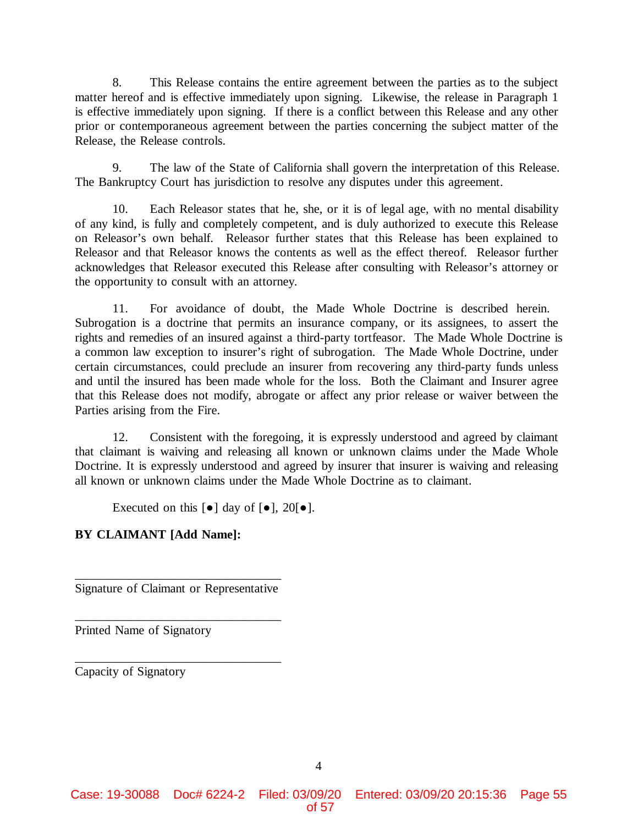8. This Release contains the entire agreement between the parties as to the subject matter hereof and is effective immediately upon signing. Likewise, the release in Paragraph 1 is effective immediately upon signing. If there is a conflict between this Release and any other prior or contemporaneous agreement between the parties concerning the subject matter of the Release, the Release controls.

9. The law of the State of California shall govern the interpretation of this Release. The Bankruptcy Court has jurisdiction to resolve any disputes under this agreement.

10. Each Releasor states that he, she, or it is of legal age, with no mental disability of any kind, is fully and completely competent, and is duly authorized to execute this Release on Releasor's own behalf. Releasor further states that this Release has been explained to Releasor and that Releasor knows the contents as well as the effect thereof. Releasor further acknowledges that Releasor executed this Release after consulting with Releasor's attorney or the opportunity to consult with an attorney.

11. For avoidance of doubt, the Made Whole Doctrine is described herein. Subrogation is a doctrine that permits an insurance company, or its assignees, to assert the rights and remedies of an insured against a third-party tortfeasor. The Made Whole Doctrine is a common law exception to insurer's right of subrogation. The Made Whole Doctrine, under certain circumstances, could preclude an insurer from recovering any third-party funds unless and until the insured has been made whole for the loss. Both the Claimant and Insurer agree that this Release does not modify, abrogate or affect any prior release or waiver between the Parties arising from the Fire.

12. Consistent with the foregoing, it is expressly understood and agreed by claimant that claimant is waiving and releasing all known or unknown claims under the Made Whole Doctrine. It is expressly understood and agreed by insurer that insurer is waiving and releasing all known or unknown claims under the Made Whole Doctrine as to claimant.

Executed on this  $\lceil \bullet \rceil$  day of  $\lceil \bullet \rceil$ , 20 $\lceil \bullet \rceil$ .

### **BY CLAIMANT [Add Name]:**

\_\_\_\_\_\_\_\_\_\_\_\_\_\_\_\_\_\_\_\_\_\_\_\_\_\_\_\_\_\_\_\_\_ Signature of Claimant or Representative

\_\_\_\_\_\_\_\_\_\_\_\_\_\_\_\_\_\_\_\_\_\_\_\_\_\_\_\_\_\_\_\_\_

\_\_\_\_\_\_\_\_\_\_\_\_\_\_\_\_\_\_\_\_\_\_\_\_\_\_\_\_\_\_\_\_\_

Printed Name of Signatory

Capacity of Signatory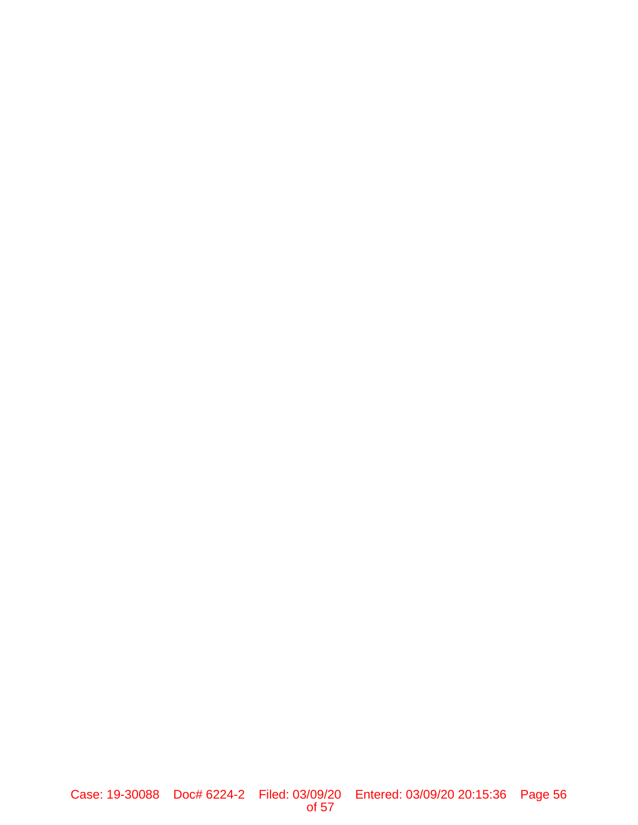Case: 19-30088 Doc# 6224-2 Filed: 03/09/20 Entered: 03/09/20 20:15:36 Page 56